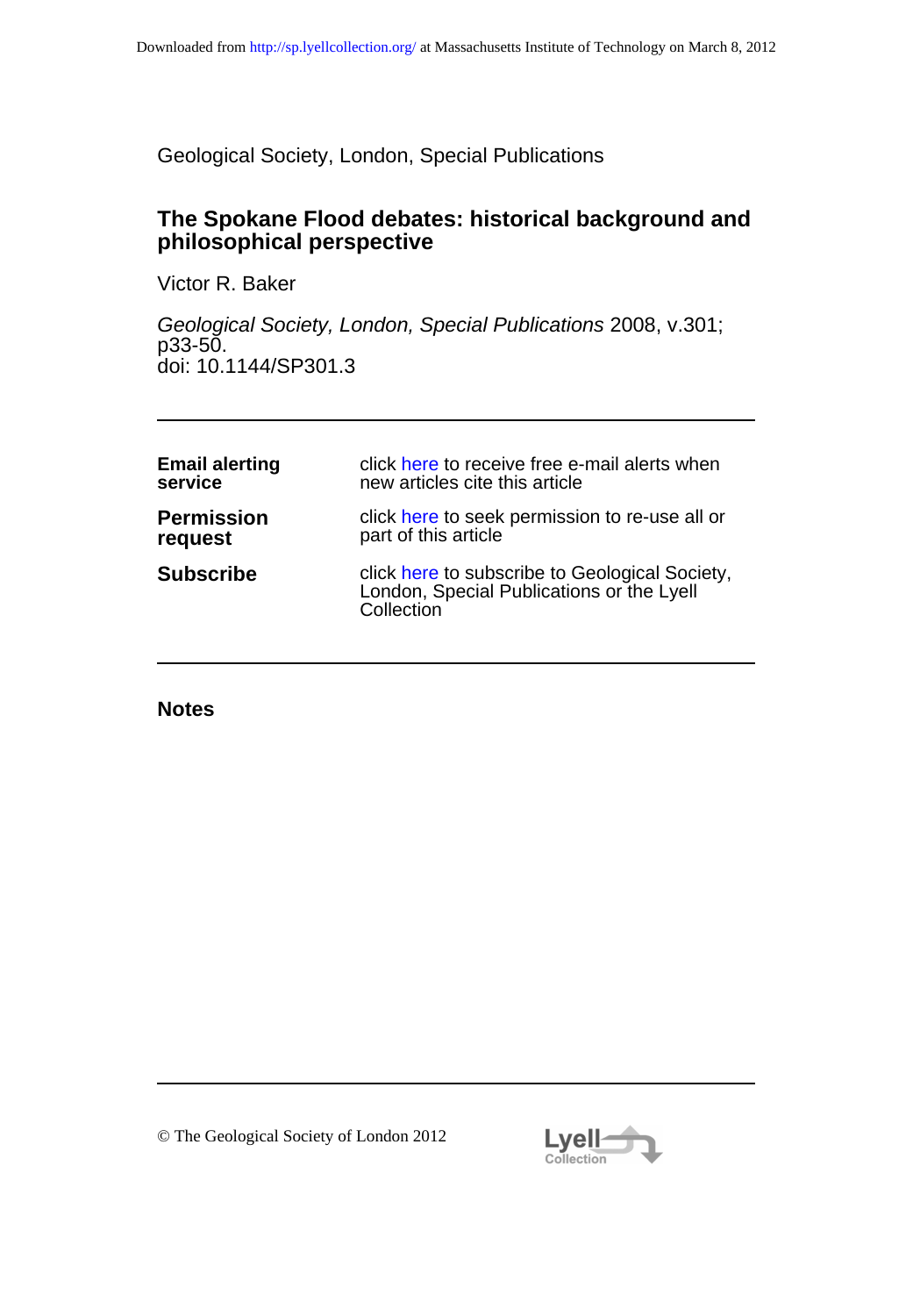Geological Society, London, Special Publications

# **philosophical perspective The Spokane Flood debates: historical background and**

Victor R. Baker

doi: 10.1144/SP301.3 p33-50. Geological Society, London, Special Publications 2008, v.301;

| <b>Email alerting</b> | click here to receive free e-mail alerts when                                                             |
|-----------------------|-----------------------------------------------------------------------------------------------------------|
| service               | new articles cite this article                                                                            |
| <b>Permission</b>     | click here to seek permission to re-use all or                                                            |
| request               | part of this article                                                                                      |
| <b>Subscribe</b>      | click here to subscribe to Geological Society,<br>London, Special Publications or the Lyell<br>Collection |

**Notes**

© The Geological Society of London 2012

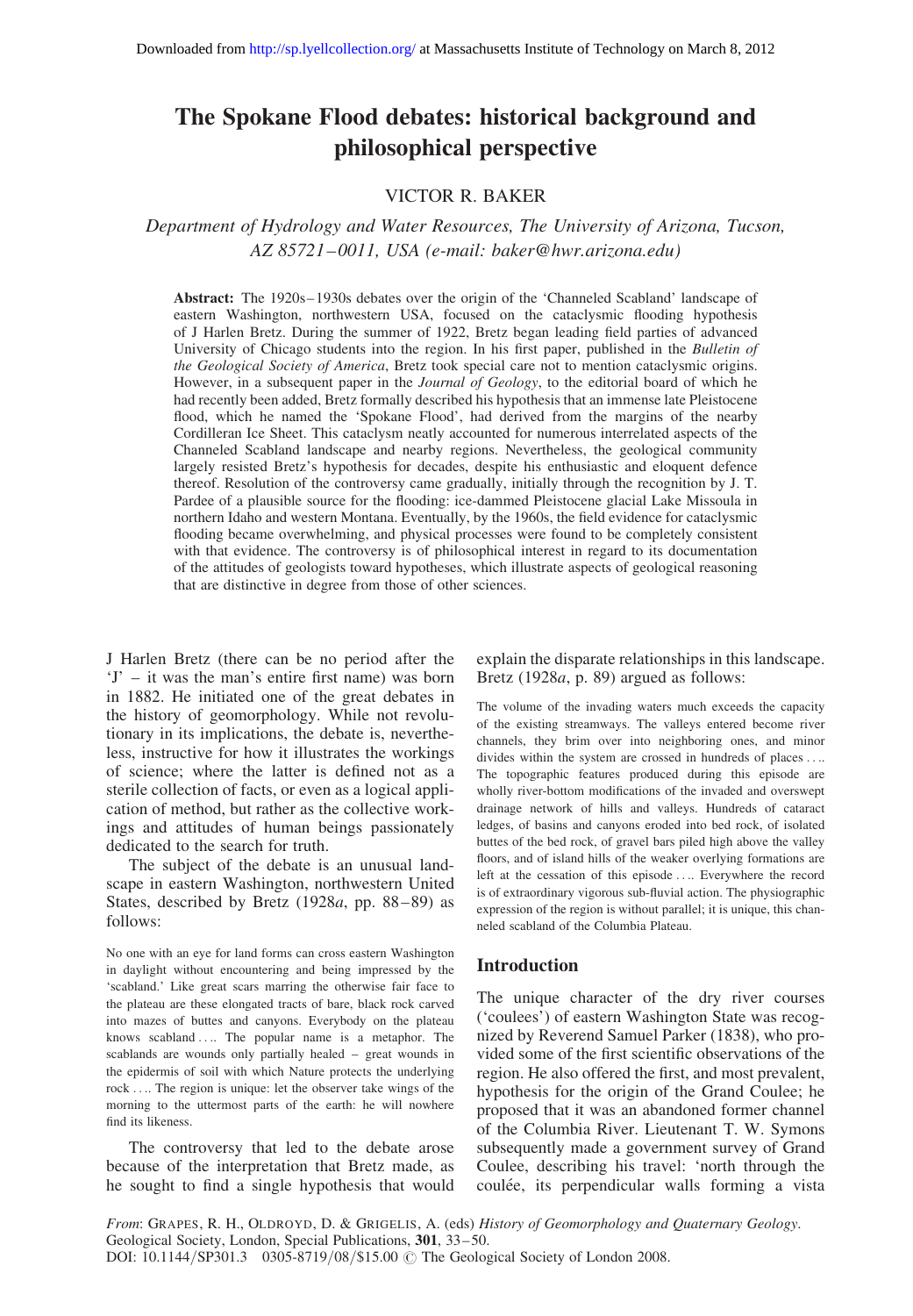# The Spokane Flood debates: historical background and philosophical perspective

# VICTOR R. BAKER

Department of Hydrology and Water Resources, The University of Arizona, Tucson, AZ 85721–0011, USA (e-mail: baker@hwr.arizona.edu)

Abstract: The 1920s–1930s debates over the origin of the 'Channeled Scabland' landscape of eastern Washington, northwestern USA, focused on the cataclysmic flooding hypothesis of J Harlen Bretz. During the summer of 1922, Bretz began leading field parties of advanced University of Chicago students into the region. In his first paper, published in the Bulletin of the Geological Society of America, Bretz took special care not to mention cataclysmic origins. However, in a subsequent paper in the *Journal of Geology*, to the editorial board of which he had recently been added, Bretz formally described his hypothesis that an immense late Pleistocene flood, which he named the 'Spokane Flood', had derived from the margins of the nearby Cordilleran Ice Sheet. This cataclysm neatly accounted for numerous interrelated aspects of the Channeled Scabland landscape and nearby regions. Nevertheless, the geological community largely resisted Bretz's hypothesis for decades, despite his enthusiastic and eloquent defence thereof. Resolution of the controversy came gradually, initially through the recognition by J. T. Pardee of a plausible source for the flooding: ice-dammed Pleistocene glacial Lake Missoula in northern Idaho and western Montana. Eventually, by the 1960s, the field evidence for cataclysmic flooding became overwhelming, and physical processes were found to be completely consistent with that evidence. The controversy is of philosophical interest in regard to its documentation of the attitudes of geologists toward hypotheses, which illustrate aspects of geological reasoning that are distinctive in degree from those of other sciences.

J Harlen Bretz (there can be no period after the 'J' – it was the man's entire first name) was born in 1882. He initiated one of the great debates in the history of geomorphology. While not revolutionary in its implications, the debate is, nevertheless, instructive for how it illustrates the workings of science; where the latter is defined not as a sterile collection of facts, or even as a logical application of method, but rather as the collective workings and attitudes of human beings passionately dedicated to the search for truth.

The subject of the debate is an unusual landscape in eastern Washington, northwestern United States, described by Bretz (1928a, pp. 88–89) as follows:

No one with an eye for land forms can cross eastern Washington in daylight without encountering and being impressed by the 'scabland.' Like great scars marring the otherwise fair face to the plateau are these elongated tracts of bare, black rock carved into mazes of buttes and canyons. Everybody on the plateau knows scabland .... The popular name is a metaphor. The scablands are wounds only partially healed – great wounds in the epidermis of soil with which Nature protects the underlying rock .... The region is unique: let the observer take wings of the morning to the uttermost parts of the earth: he will nowhere find its likeness.

The controversy that led to the debate arose because of the interpretation that Bretz made, as he sought to find a single hypothesis that would explain the disparate relationships in this landscape. Bretz (1928*a*, p. 89) argued as follows:

The volume of the invading waters much exceeds the capacity of the existing streamways. The valleys entered become river channels, they brim over into neighboring ones, and minor divides within the system are crossed in hundreds of places .... The topographic features produced during this episode are wholly river-bottom modifications of the invaded and overswept drainage network of hills and valleys. Hundreds of cataract ledges, of basins and canyons eroded into bed rock, of isolated buttes of the bed rock, of gravel bars piled high above the valley floors, and of island hills of the weaker overlying formations are left at the cessation of this episode .... Everywhere the record is of extraordinary vigorous sub-fluvial action. The physiographic expression of the region is without parallel; it is unique, this channeled scabland of the Columbia Plateau.

# Introduction

The unique character of the dry river courses ('coulees') of eastern Washington State was recognized by Reverend Samuel Parker (1838), who provided some of the first scientific observations of the region. He also offered the first, and most prevalent, hypothesis for the origin of the Grand Coulee; he proposed that it was an abandoned former channel of the Columbia River. Lieutenant T. W. Symons subsequently made a government survey of Grand Coulee, describing his travel: 'north through the coulée, its perpendicular walls forming a vista

From: GRAPES, R. H., OLDROYD, D. & GRIGELIS, A. (eds) History of Geomorphology and Quaternary Geology. Geological Society, London, Special Publications, 301, 33–50. DOI: 10.1144/SP301.3 0305-8719/08/\$15.00 © The Geological Society of London 2008.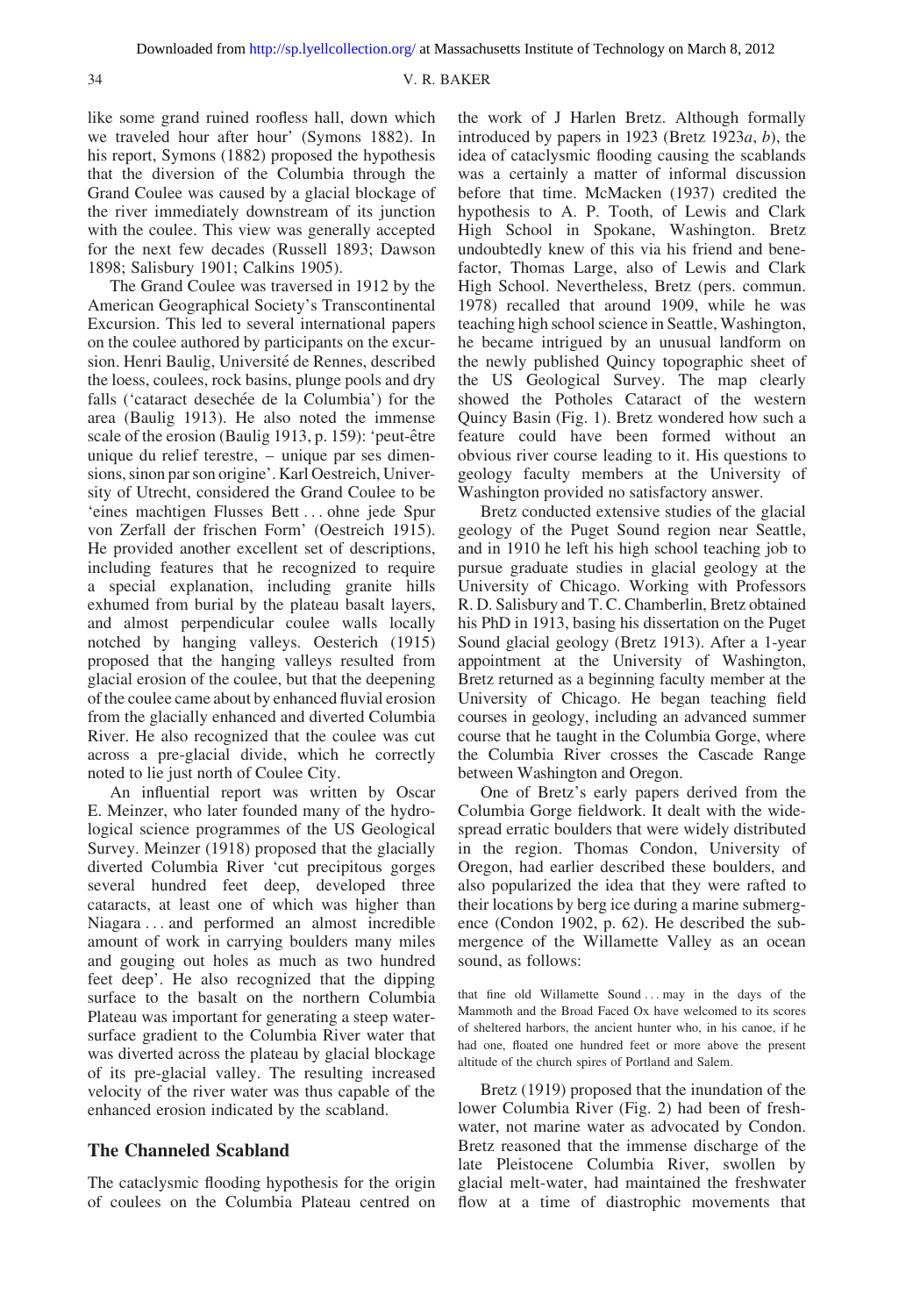like some grand ruined roofless hall, down which we traveled hour after hour' (Symons 1882). In his report, Symons (1882) proposed the hypothesis that the diversion of the Columbia through the Grand Coulee was caused by a glacial blockage of the river immediately downstream of its junction with the coulee. This view was generally accepted for the next few decades (Russell 1893; Dawson 1898; Salisbury 1901; Calkins 1905).

The Grand Coulee was traversed in 1912 by the American Geographical Society's Transcontinental Excursion. This led to several international papers on the coulee authored by participants on the excursion. Henri Baulig, Université de Rennes, described the loess, coulees, rock basins, plunge pools and dry falls ('cataract desechée de la Columbia') for the area (Baulig 1913). He also noted the immense scale of the erosion (Baulig 1913, p. 159): 'peut-être unique du relief terestre, – unique par ses dimensions, sinon par son origine'. Karl Oestreich, University of Utrecht, considered the Grand Coulee to be 'eines machtigen Flusses Bett ... ohne jede Spur von Zerfall der frischen Form' (Oestreich 1915). He provided another excellent set of descriptions, including features that he recognized to require a special explanation, including granite hills exhumed from burial by the plateau basalt layers, and almost perpendicular coulee walls locally notched by hanging valleys. Oesterich (1915) proposed that the hanging valleys resulted from glacial erosion of the coulee, but that the deepening of the coulee came about by enhanced fluvial erosion from the glacially enhanced and diverted Columbia River. He also recognized that the coulee was cut across a pre-glacial divide, which he correctly noted to lie just north of Coulee City.

An influential report was written by Oscar E. Meinzer, who later founded many of the hydrological science programmes of the US Geological Survey. Meinzer (1918) proposed that the glacially diverted Columbia River 'cut precipitous gorges several hundred feet deep, developed three cataracts, at least one of which was higher than Niagara ... and performed an almost incredible amount of work in carrying boulders many miles and gouging out holes as much as two hundred feet deep'. He also recognized that the dipping surface to the basalt on the northern Columbia Plateau was important for generating a steep watersurface gradient to the Columbia River water that was diverted across the plateau by glacial blockage of its pre-glacial valley. The resulting increased velocity of the river water was thus capable of the enhanced erosion indicated by the scabland.

### The Channeled Scabland

The cataclysmic flooding hypothesis for the origin of coulees on the Columbia Plateau centred on

the work of J Harlen Bretz. Although formally introduced by papers in 1923 (Bretz 1923 $a$ ,  $b$ ), the idea of cataclysmic flooding causing the scablands was a certainly a matter of informal discussion before that time. McMacken (1937) credited the hypothesis to A. P. Tooth, of Lewis and Clark High School in Spokane, Washington. Bretz undoubtedly knew of this via his friend and benefactor, Thomas Large, also of Lewis and Clark High School. Nevertheless, Bretz (pers. commun. 1978) recalled that around 1909, while he was teaching high school science in Seattle, Washington, he became intrigued by an unusual landform on the newly published Quincy topographic sheet of the US Geological Survey. The map clearly showed the Potholes Cataract of the western Quincy Basin (Fig. 1). Bretz wondered how such a feature could have been formed without an obvious river course leading to it. His questions to geology faculty members at the University of Washington provided no satisfactory answer.

Bretz conducted extensive studies of the glacial geology of the Puget Sound region near Seattle, and in 1910 he left his high school teaching job to pursue graduate studies in glacial geology at the University of Chicago. Working with Professors R. D. Salisbury and T. C. Chamberlin, Bretz obtained his PhD in 1913, basing his dissertation on the Puget Sound glacial geology (Bretz 1913). After a 1-year appointment at the University of Washington, Bretz returned as a beginning faculty member at the University of Chicago. He began teaching field courses in geology, including an advanced summer course that he taught in the Columbia Gorge, where the Columbia River crosses the Cascade Range between Washington and Oregon.

One of Bretz's early papers derived from the Columbia Gorge fieldwork. It dealt with the widespread erratic boulders that were widely distributed in the region. Thomas Condon, University of Oregon, had earlier described these boulders, and also popularized the idea that they were rafted to their locations by berg ice during a marine submergence (Condon 1902, p. 62). He described the submergence of the Willamette Valley as an ocean sound, as follows:

that fine old Willamette Sound ... may in the days of the Mammoth and the Broad Faced Ox have welcomed to its scores of sheltered harbors, the ancient hunter who, in his canoe, if he had one, floated one hundred feet or more above the present altitude of the church spires of Portland and Salem.

Bretz (1919) proposed that the inundation of the lower Columbia River (Fig. 2) had been of freshwater, not marine water as advocated by Condon. Bretz reasoned that the immense discharge of the late Pleistocene Columbia River, swollen by glacial melt-water, had maintained the freshwater flow at a time of diastrophic movements that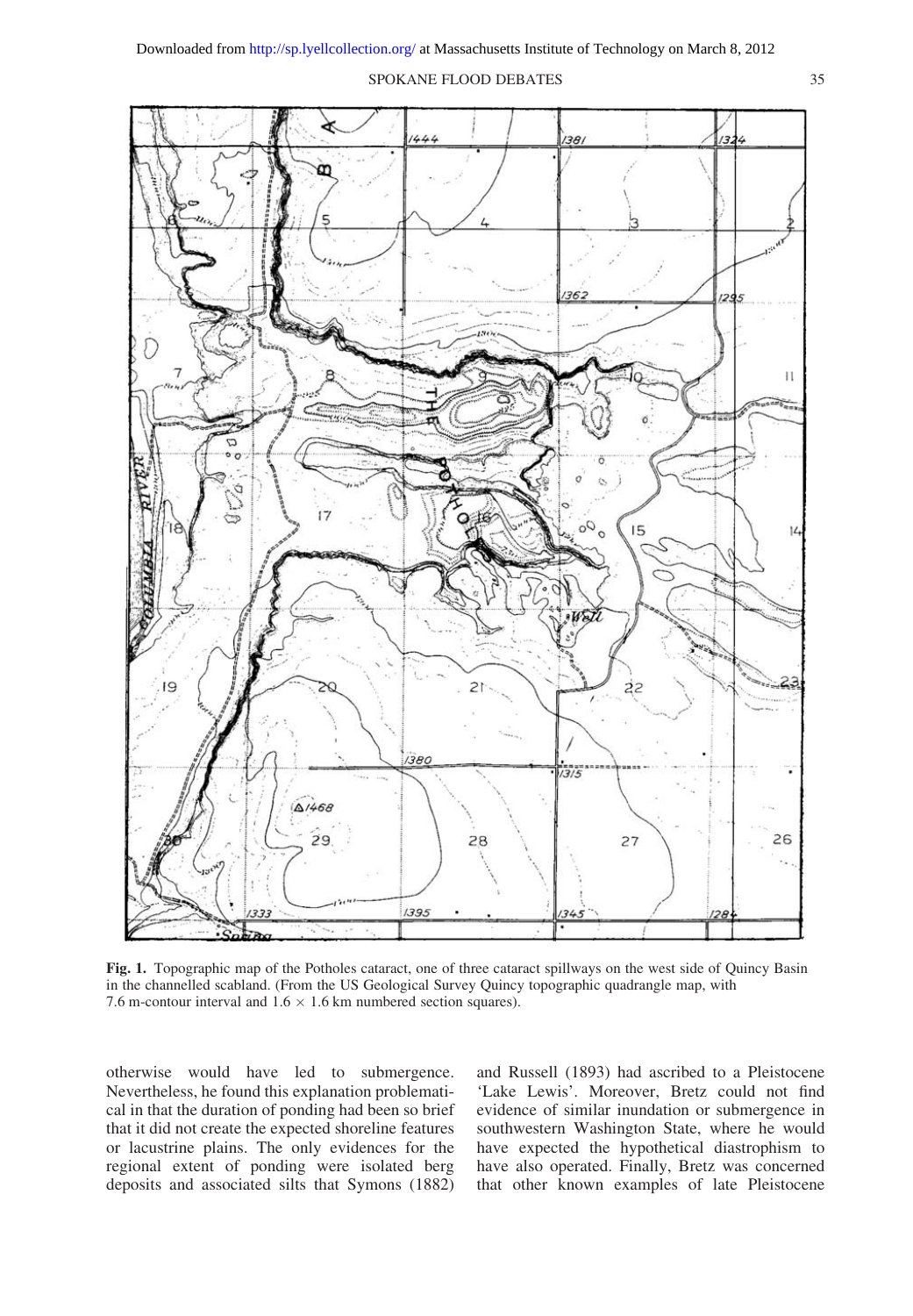

Fig. 1. Topographic map of the Potholes cataract, one of three cataract spillways on the west side of Quincy Basin in the channelled scabland. (From the US Geological Survey Quincy topographic quadrangle map, with 7.6 m-contour interval and  $1.6 \times 1.6$  km numbered section squares).

otherwise would have led to submergence. Nevertheless, he found this explanation problematical in that the duration of ponding had been so brief that it did not create the expected shoreline features or lacustrine plains. The only evidences for the regional extent of ponding were isolated berg deposits and associated silts that Symons (1882)

and Russell (1893) had ascribed to a Pleistocene 'Lake Lewis'. Moreover, Bretz could not find evidence of similar inundation or submergence in southwestern Washington State, where he would have expected the hypothetical diastrophism to have also operated. Finally, Bretz was concerned that other known examples of late Pleistocene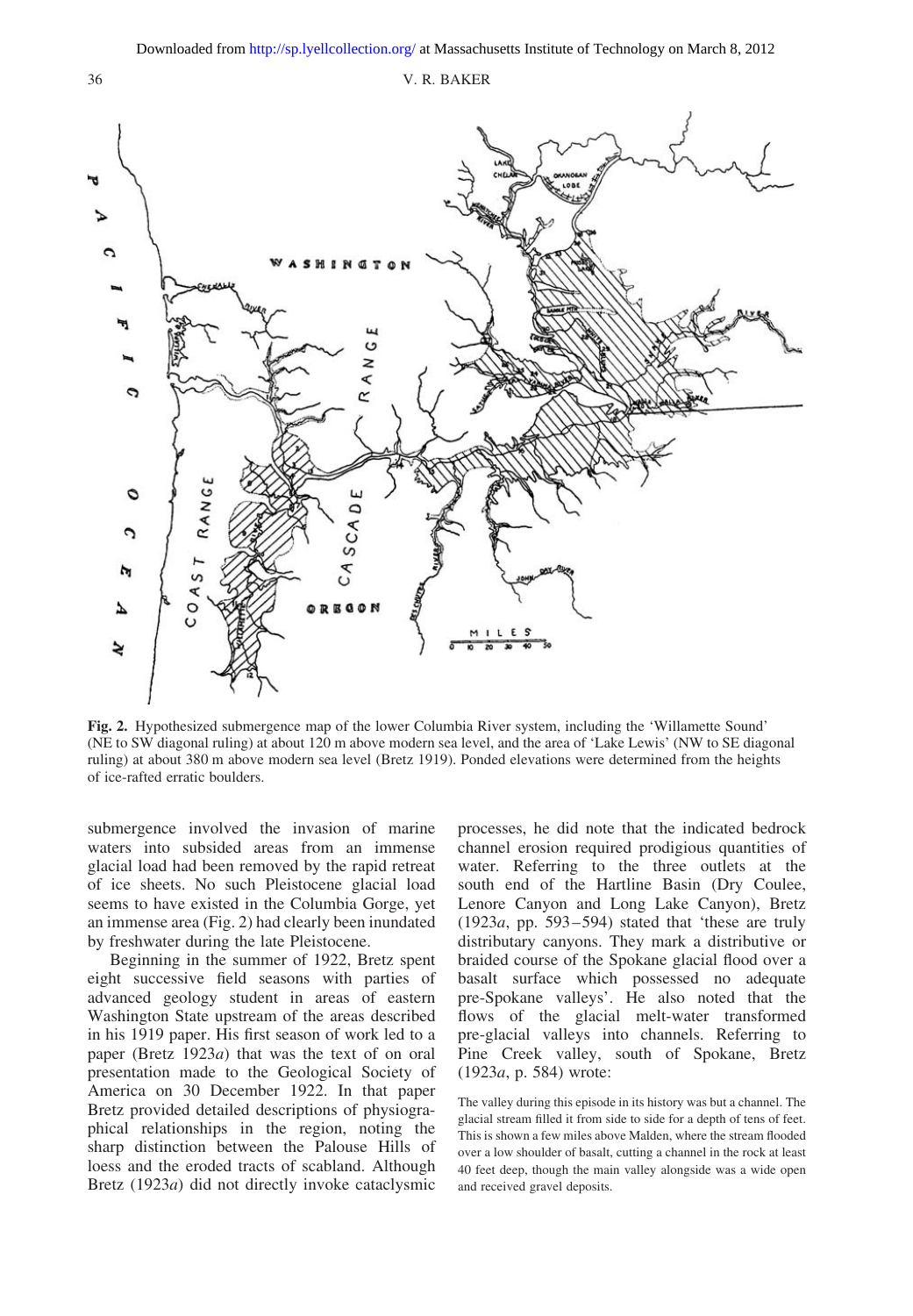

Fig. 2. Hypothesized submergence map of the lower Columbia River system, including the 'Willamette Sound' (NE to SW diagonal ruling) at about 120 m above modern sea level, and the area of 'Lake Lewis' (NW to SE diagonal ruling) at about 380 m above modern sea level (Bretz 1919). Ponded elevations were determined from the heights of ice-rafted erratic boulders.

submergence involved the invasion of marine waters into subsided areas from an immense glacial load had been removed by the rapid retreat of ice sheets. No such Pleistocene glacial load seems to have existed in the Columbia Gorge, yet an immense area (Fig. 2) had clearly been inundated by freshwater during the late Pleistocene.

Beginning in the summer of 1922, Bretz spent eight successive field seasons with parties of advanced geology student in areas of eastern Washington State upstream of the areas described in his 1919 paper. His first season of work led to a paper (Bretz 1923a) that was the text of on oral presentation made to the Geological Society of America on 30 December 1922. In that paper Bretz provided detailed descriptions of physiographical relationships in the region, noting the sharp distinction between the Palouse Hills of loess and the eroded tracts of scabland. Although Bretz (1923a) did not directly invoke cataclysmic

processes, he did note that the indicated bedrock channel erosion required prodigious quantities of water. Referring to the three outlets at the south end of the Hartline Basin (Dry Coulee, Lenore Canyon and Long Lake Canyon), Bretz (1923 $a$ , pp. 593–594) stated that 'these are truly distributary canyons. They mark a distributive or braided course of the Spokane glacial flood over a basalt surface which possessed no adequate pre-Spokane valleys'. He also noted that the flows of the glacial melt-water transformed pre-glacial valleys into channels. Referring to Pine Creek valley, south of Spokane, Bretz (1923a, p. 584) wrote:

The valley during this episode in its history was but a channel. The glacial stream filled it from side to side for a depth of tens of feet. This is shown a few miles above Malden, where the stream flooded over a low shoulder of basalt, cutting a channel in the rock at least 40 feet deep, though the main valley alongside was a wide open and received gravel deposits.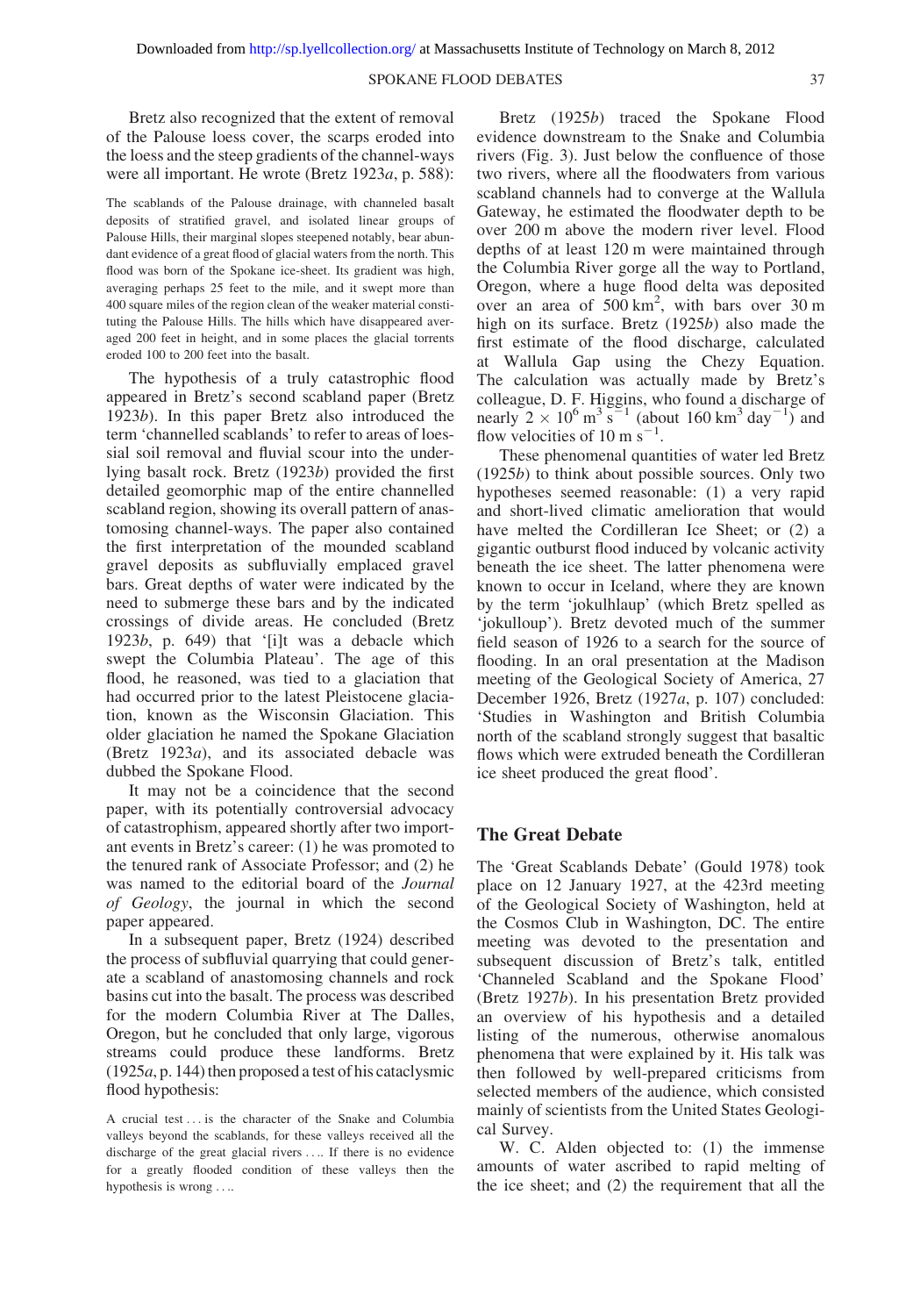Bretz also recognized that the extent of removal of the Palouse loess cover, the scarps eroded into the loess and the steep gradients of the channel-ways were all important. He wrote (Bretz 1923a, p. 588):

The scablands of the Palouse drainage, with channeled basalt deposits of stratified gravel, and isolated linear groups of Palouse Hills, their marginal slopes steepened notably, bear abundant evidence of a great flood of glacial waters from the north. This flood was born of the Spokane ice-sheet. Its gradient was high, averaging perhaps 25 feet to the mile, and it swept more than 400 square miles of the region clean of the weaker material constituting the Palouse Hills. The hills which have disappeared averaged 200 feet in height, and in some places the glacial torrents eroded 100 to 200 feet into the basalt.

The hypothesis of a truly catastrophic flood appeared in Bretz's second scabland paper (Bretz 1923b). In this paper Bretz also introduced the term 'channelled scablands' to refer to areas of loessial soil removal and fluvial scour into the underlying basalt rock. Bretz (1923b) provided the first detailed geomorphic map of the entire channelled scabland region, showing its overall pattern of anastomosing channel-ways. The paper also contained the first interpretation of the mounded scabland gravel deposits as subfluvially emplaced gravel bars. Great depths of water were indicated by the need to submerge these bars and by the indicated crossings of divide areas. He concluded (Bretz 1923b, p. 649) that '[i]t was a debacle which swept the Columbia Plateau'. The age of this flood, he reasoned, was tied to a glaciation that had occurred prior to the latest Pleistocene glaciation, known as the Wisconsin Glaciation. This older glaciation he named the Spokane Glaciation (Bretz 1923a), and its associated debacle was dubbed the Spokane Flood.

It may not be a coincidence that the second paper, with its potentially controversial advocacy of catastrophism, appeared shortly after two important events in Bretz's career: (1) he was promoted to the tenured rank of Associate Professor; and (2) he was named to the editorial board of the Journal of Geology, the journal in which the second paper appeared.

In a subsequent paper, Bretz (1924) described the process of subfluvial quarrying that could generate a scabland of anastomosing channels and rock basins cut into the basalt. The process was described for the modern Columbia River at The Dalles, Oregon, but he concluded that only large, vigorous streams could produce these landforms. Bretz (1925a, p. 144) then proposed a test of his cataclysmic flood hypothesis:

A crucial test ... is the character of the Snake and Columbia valleys beyond the scablands, for these valleys received all the discharge of the great glacial rivers .... If there is no evidence for a greatly flooded condition of these valleys then the hypothesis is wrong ....

Bretz (1925b) traced the Spokane Flood evidence downstream to the Snake and Columbia rivers (Fig. 3). Just below the confluence of those two rivers, where all the floodwaters from various scabland channels had to converge at the Wallula Gateway, he estimated the floodwater depth to be over 200 m above the modern river level. Flood depths of at least 120 m were maintained through the Columbia River gorge all the way to Portland, Oregon, where a huge flood delta was deposited over an area of  $500 \text{ km}^2$ , with bars over 30 m high on its surface. Bretz (1925b) also made the first estimate of the flood discharge, calculated at Wallula Gap using the Chezy Equation. The calculation was actually made by Bretz's colleague, D. F. Higgins, who found a discharge of nearly  $2 \times 10^6$  m<sup>3</sup> s<sup>21</sup> (about 160 km<sup>3</sup> day<sup>-1</sup>) and flow velocities of 10 m  $\mathrm{s}^{-1}$ .

These phenomenal quantities of water led Bretz  $(1925b)$  to think about possible sources. Only two hypotheses seemed reasonable: (1) a very rapid and short-lived climatic amelioration that would have melted the Cordilleran Ice Sheet; or (2) a gigantic outburst flood induced by volcanic activity beneath the ice sheet. The latter phenomena were known to occur in Iceland, where they are known by the term 'jokulhlaup' (which Bretz spelled as 'jokulloup'). Bretz devoted much of the summer field season of 1926 to a search for the source of flooding. In an oral presentation at the Madison meeting of the Geological Society of America, 27 December 1926, Bretz (1927a, p. 107) concluded: 'Studies in Washington and British Columbia north of the scabland strongly suggest that basaltic flows which were extruded beneath the Cordilleran ice sheet produced the great flood'.

## The Great Debate

The 'Great Scablands Debate' (Gould 1978) took place on 12 January 1927, at the 423rd meeting of the Geological Society of Washington, held at the Cosmos Club in Washington, DC. The entire meeting was devoted to the presentation and subsequent discussion of Bretz's talk, entitled 'Channeled Scabland and the Spokane Flood' (Bretz 1927b). In his presentation Bretz provided an overview of his hypothesis and a detailed listing of the numerous, otherwise anomalous phenomena that were explained by it. His talk was then followed by well-prepared criticisms from selected members of the audience, which consisted mainly of scientists from the United States Geological Survey.

W. C. Alden objected to: (1) the immense amounts of water ascribed to rapid melting of the ice sheet; and (2) the requirement that all the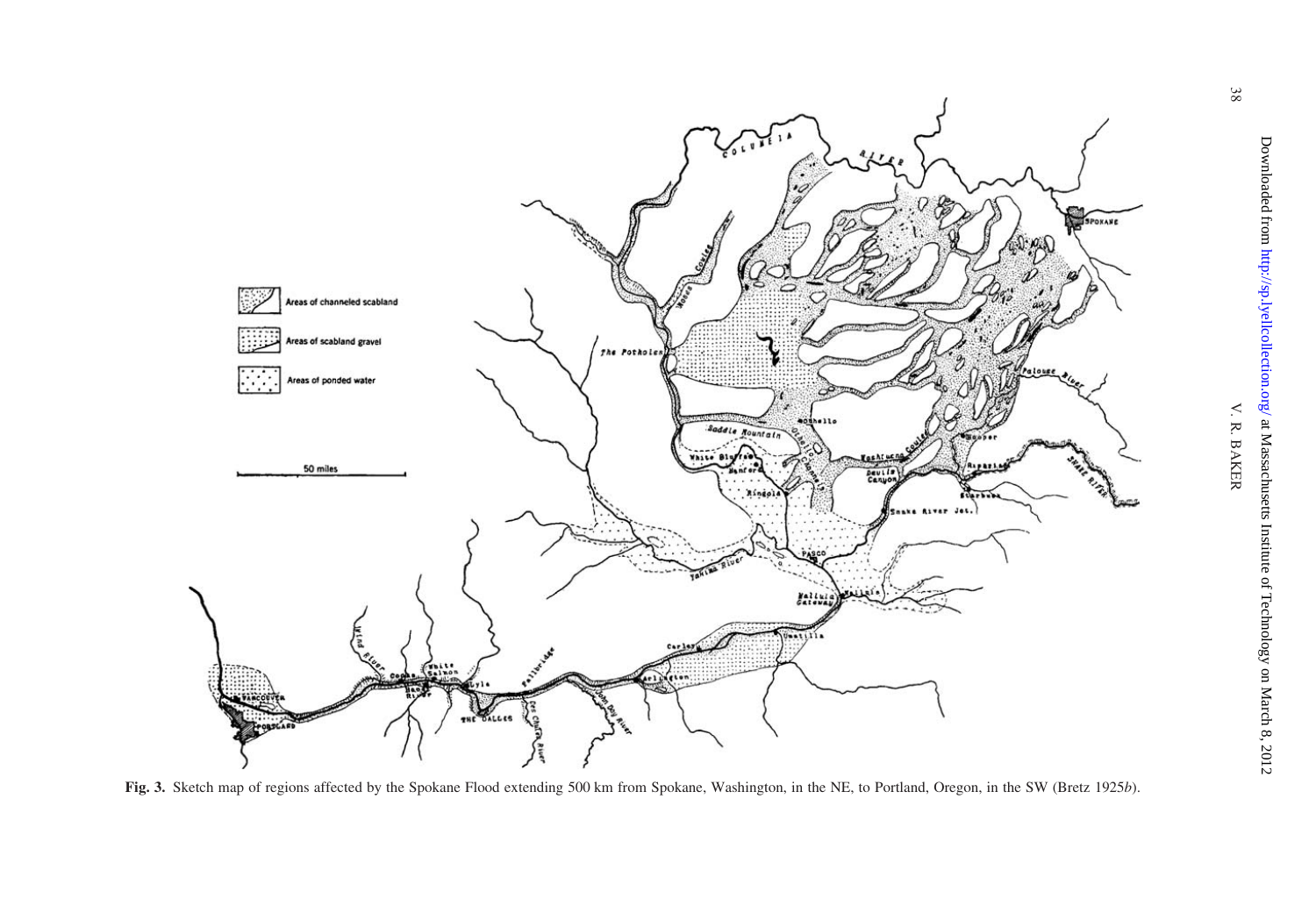

Fig. 3. Sketch map of regions affected by the Spokane Flood extending 500 km from Spokane, Washington, in the NE, to Portland, Oregon, in the SW (Bretz 1925b).

 $\mathbf{V}.\,\mathbf{R}.\,\mathbf{BAKER}$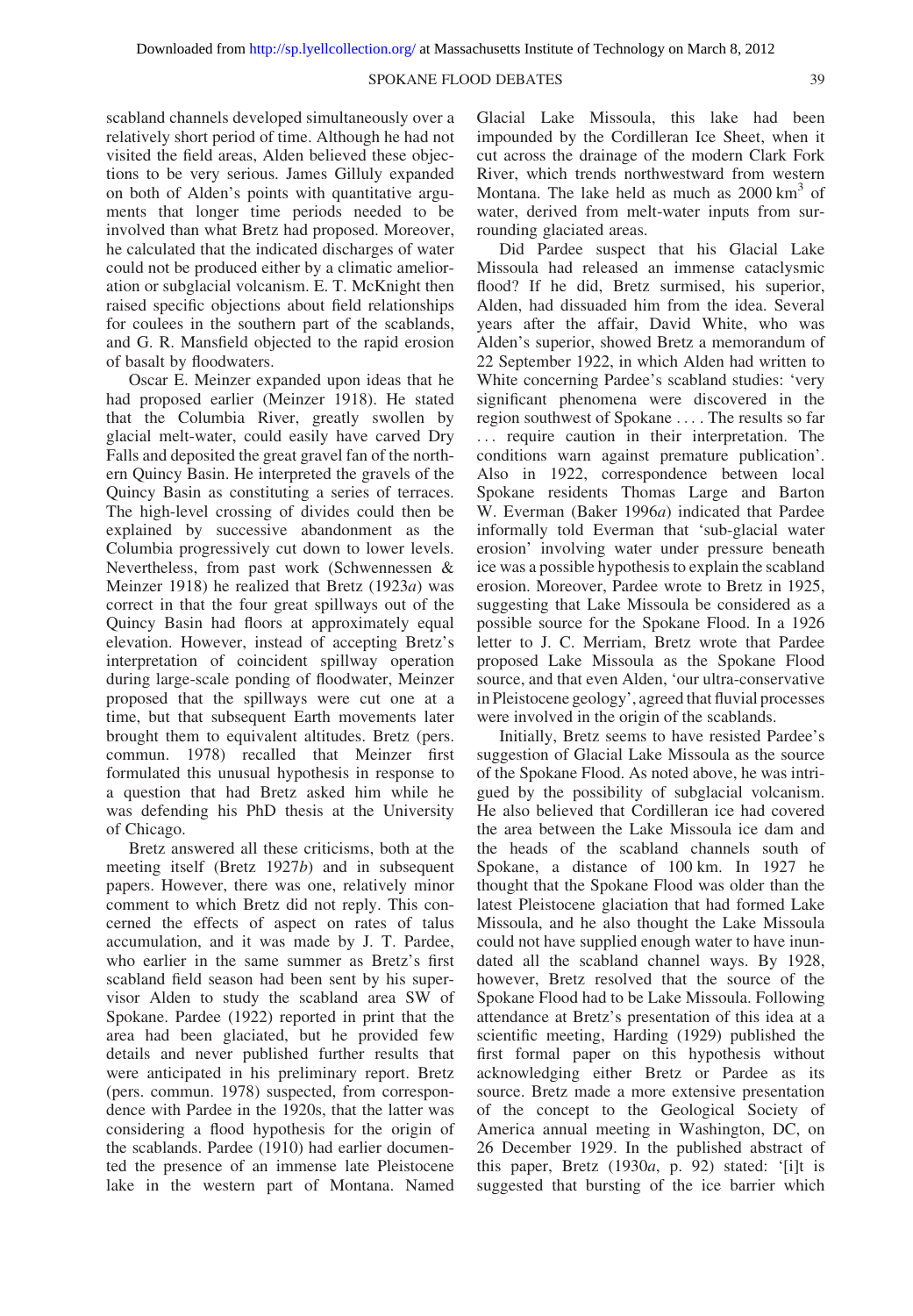scabland channels developed simultaneously over a relatively short period of time. Although he had not visited the field areas, Alden believed these objections to be very serious. James Gilluly expanded on both of Alden's points with quantitative arguments that longer time periods needed to be involved than what Bretz had proposed. Moreover, he calculated that the indicated discharges of water could not be produced either by a climatic amelioration or subglacial volcanism. E. T. McKnight then raised specific objections about field relationships for coulees in the southern part of the scablands, and G. R. Mansfield objected to the rapid erosion of basalt by floodwaters.

Oscar E. Meinzer expanded upon ideas that he had proposed earlier (Meinzer 1918). He stated that the Columbia River, greatly swollen by glacial melt-water, could easily have carved Dry Falls and deposited the great gravel fan of the northern Quincy Basin. He interpreted the gravels of the Quincy Basin as constituting a series of terraces. The high-level crossing of divides could then be explained by successive abandonment as the Columbia progressively cut down to lower levels. Nevertheless, from past work (Schwennessen & Meinzer 1918) he realized that Bretz (1923a) was correct in that the four great spillways out of the Quincy Basin had floors at approximately equal elevation. However, instead of accepting Bretz's interpretation of coincident spillway operation during large-scale ponding of floodwater, Meinzer proposed that the spillways were cut one at a time, but that subsequent Earth movements later brought them to equivalent altitudes. Bretz (pers. commun. 1978) recalled that Meinzer first formulated this unusual hypothesis in response to a question that had Bretz asked him while he was defending his PhD thesis at the University of Chicago.

Bretz answered all these criticisms, both at the meeting itself (Bretz 1927b) and in subsequent papers. However, there was one, relatively minor comment to which Bretz did not reply. This concerned the effects of aspect on rates of talus accumulation, and it was made by J. T. Pardee, who earlier in the same summer as Bretz's first scabland field season had been sent by his supervisor Alden to study the scabland area SW of Spokane. Pardee (1922) reported in print that the area had been glaciated, but he provided few details and never published further results that were anticipated in his preliminary report. Bretz (pers. commun. 1978) suspected, from correspondence with Pardee in the 1920s, that the latter was considering a flood hypothesis for the origin of the scablands. Pardee (1910) had earlier documented the presence of an immense late Pleistocene lake in the western part of Montana. Named Glacial Lake Missoula, this lake had been impounded by the Cordilleran Ice Sheet, when it cut across the drainage of the modern Clark Fork River, which trends northwestward from western Montana. The lake held as much as  $2000 \text{ km}^3$  of water, derived from melt-water inputs from surrounding glaciated areas.

Did Pardee suspect that his Glacial Lake Missoula had released an immense cataclysmic flood? If he did, Bretz surmised, his superior, Alden, had dissuaded him from the idea. Several years after the affair, David White, who was Alden's superior, showed Bretz a memorandum of 22 September 1922, in which Alden had written to White concerning Pardee's scabland studies: 'very significant phenomena were discovered in the region southwest of Spokane ... . The results so far ... require caution in their interpretation. The conditions warn against premature publication'. Also in 1922, correspondence between local Spokane residents Thomas Large and Barton W. Everman (Baker 1996a) indicated that Pardee informally told Everman that 'sub-glacial water erosion' involving water under pressure beneath ice was a possible hypothesis to explain the scabland erosion. Moreover, Pardee wrote to Bretz in 1925, suggesting that Lake Missoula be considered as a possible source for the Spokane Flood. In a 1926 letter to J. C. Merriam, Bretz wrote that Pardee proposed Lake Missoula as the Spokane Flood source, and that even Alden, 'our ultra-conservative in Pleistocene geology', agreed that fluvial processes were involved in the origin of the scablands.

Initially, Bretz seems to have resisted Pardee's suggestion of Glacial Lake Missoula as the source of the Spokane Flood. As noted above, he was intrigued by the possibility of subglacial volcanism. He also believed that Cordilleran ice had covered the area between the Lake Missoula ice dam and the heads of the scabland channels south of Spokane, a distance of 100 km. In 1927 he thought that the Spokane Flood was older than the latest Pleistocene glaciation that had formed Lake Missoula, and he also thought the Lake Missoula could not have supplied enough water to have inundated all the scabland channel ways. By 1928, however, Bretz resolved that the source of the Spokane Flood had to be Lake Missoula. Following attendance at Bretz's presentation of this idea at a scientific meeting, Harding (1929) published the first formal paper on this hypothesis without acknowledging either Bretz or Pardee as its source. Bretz made a more extensive presentation of the concept to the Geological Society of America annual meeting in Washington, DC, on 26 December 1929. In the published abstract of this paper, Bretz (1930a, p. 92) stated: '[i]t is suggested that bursting of the ice barrier which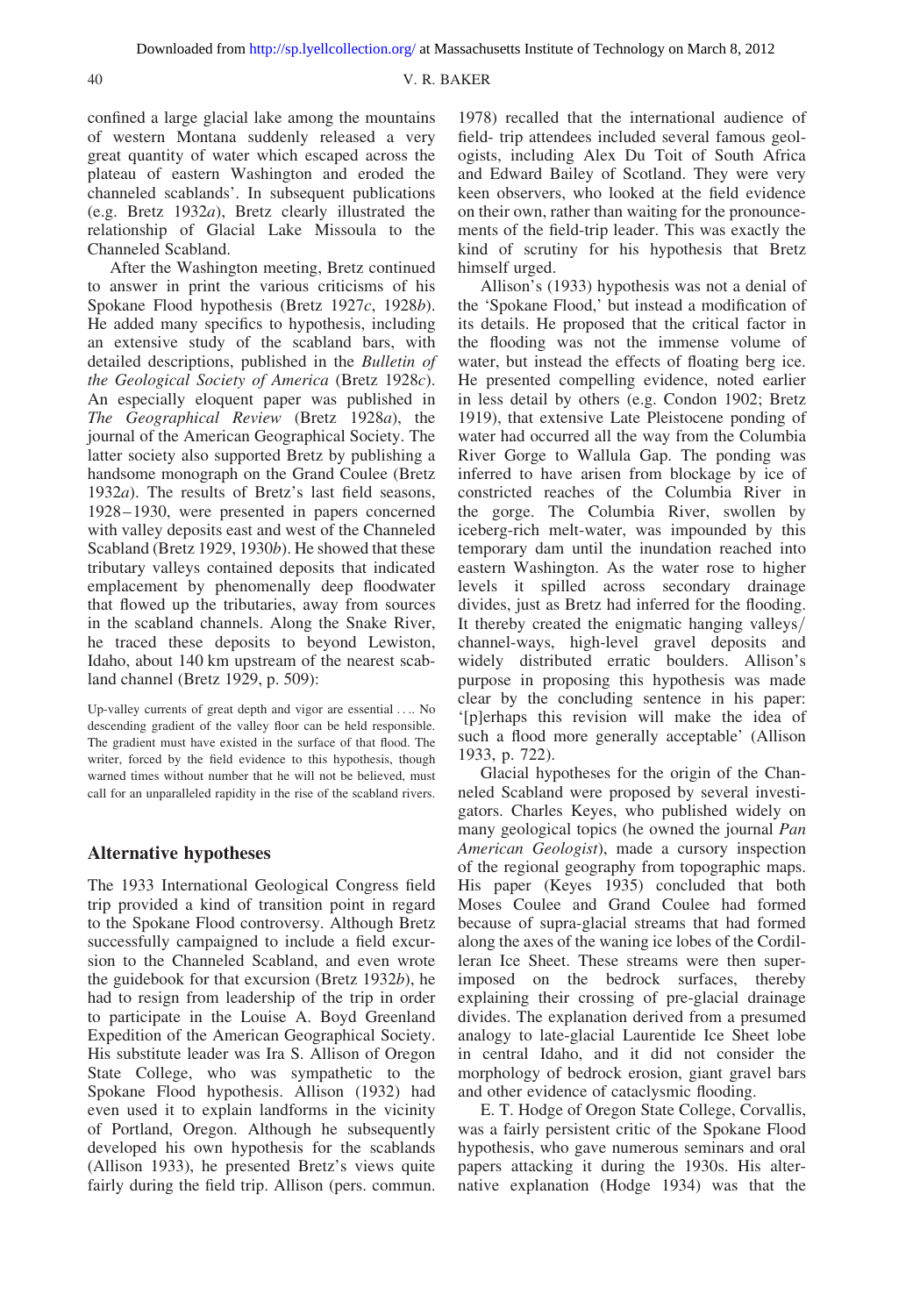confined a large glacial lake among the mountains of western Montana suddenly released a very great quantity of water which escaped across the plateau of eastern Washington and eroded the channeled scablands'. In subsequent publications (e.g. Bretz 1932a), Bretz clearly illustrated the relationship of Glacial Lake Missoula to the Channeled Scabland.

After the Washington meeting, Bretz continued to answer in print the various criticisms of his Spokane Flood hypothesis (Bretz 1927c, 1928b). He added many specifics to hypothesis, including an extensive study of the scabland bars, with detailed descriptions, published in the Bulletin of the Geological Society of America (Bretz 1928c). An especially eloquent paper was published in The Geographical Review (Bretz 1928a), the journal of the American Geographical Society. The latter society also supported Bretz by publishing a handsome monograph on the Grand Coulee (Bretz 1932a). The results of Bretz's last field seasons, 1928–1930, were presented in papers concerned with valley deposits east and west of the Channeled Scabland (Bretz 1929, 1930b). He showed that these tributary valleys contained deposits that indicated emplacement by phenomenally deep floodwater that flowed up the tributaries, away from sources in the scabland channels. Along the Snake River, he traced these deposits to beyond Lewiston, Idaho, about 140 km upstream of the nearest scabland channel (Bretz 1929, p. 509):

Up-valley currents of great depth and vigor are essential .... No descending gradient of the valley floor can be held responsible. The gradient must have existed in the surface of that flood. The writer, forced by the field evidence to this hypothesis, though warned times without number that he will not be believed, must call for an unparalleled rapidity in the rise of the scabland rivers.

### Alternative hypotheses

The 1933 International Geological Congress field trip provided a kind of transition point in regard to the Spokane Flood controversy. Although Bretz successfully campaigned to include a field excursion to the Channeled Scabland, and even wrote the guidebook for that excursion (Bretz 1932b), he had to resign from leadership of the trip in order to participate in the Louise A. Boyd Greenland Expedition of the American Geographical Society. His substitute leader was Ira S. Allison of Oregon State College, who was sympathetic to the Spokane Flood hypothesis. Allison (1932) had even used it to explain landforms in the vicinity of Portland, Oregon. Although he subsequently developed his own hypothesis for the scablands (Allison 1933), he presented Bretz's views quite fairly during the field trip. Allison (pers. commun.

1978) recalled that the international audience of field- trip attendees included several famous geologists, including Alex Du Toit of South Africa and Edward Bailey of Scotland. They were very keen observers, who looked at the field evidence on their own, rather than waiting for the pronouncements of the field-trip leader. This was exactly the kind of scrutiny for his hypothesis that Bretz himself urged.

Allison's (1933) hypothesis was not a denial of the 'Spokane Flood,' but instead a modification of its details. He proposed that the critical factor in the flooding was not the immense volume of water, but instead the effects of floating berg ice. He presented compelling evidence, noted earlier in less detail by others (e.g. Condon 1902; Bretz 1919), that extensive Late Pleistocene ponding of water had occurred all the way from the Columbia River Gorge to Wallula Gap. The ponding was inferred to have arisen from blockage by ice of constricted reaches of the Columbia River in the gorge. The Columbia River, swollen by iceberg-rich melt-water, was impounded by this temporary dam until the inundation reached into eastern Washington. As the water rose to higher levels it spilled across secondary drainage divides, just as Bretz had inferred for the flooding. It thereby created the enigmatic hanging valleys/ channel-ways, high-level gravel deposits and widely distributed erratic boulders. Allison's purpose in proposing this hypothesis was made clear by the concluding sentence in his paper: '[p]erhaps this revision will make the idea of such a flood more generally acceptable' (Allison 1933, p. 722).

Glacial hypotheses for the origin of the Channeled Scabland were proposed by several investigators. Charles Keyes, who published widely on many geological topics (he owned the journal Pan American Geologist), made a cursory inspection of the regional geography from topographic maps. His paper (Keyes 1935) concluded that both Moses Coulee and Grand Coulee had formed because of supra-glacial streams that had formed along the axes of the waning ice lobes of the Cordilleran Ice Sheet. These streams were then superimposed on the bedrock surfaces, thereby explaining their crossing of pre-glacial drainage divides. The explanation derived from a presumed analogy to late-glacial Laurentide Ice Sheet lobe in central Idaho, and it did not consider the morphology of bedrock erosion, giant gravel bars and other evidence of cataclysmic flooding.

E. T. Hodge of Oregon State College, Corvallis, was a fairly persistent critic of the Spokane Flood hypothesis, who gave numerous seminars and oral papers attacking it during the 1930s. His alternative explanation (Hodge 1934) was that the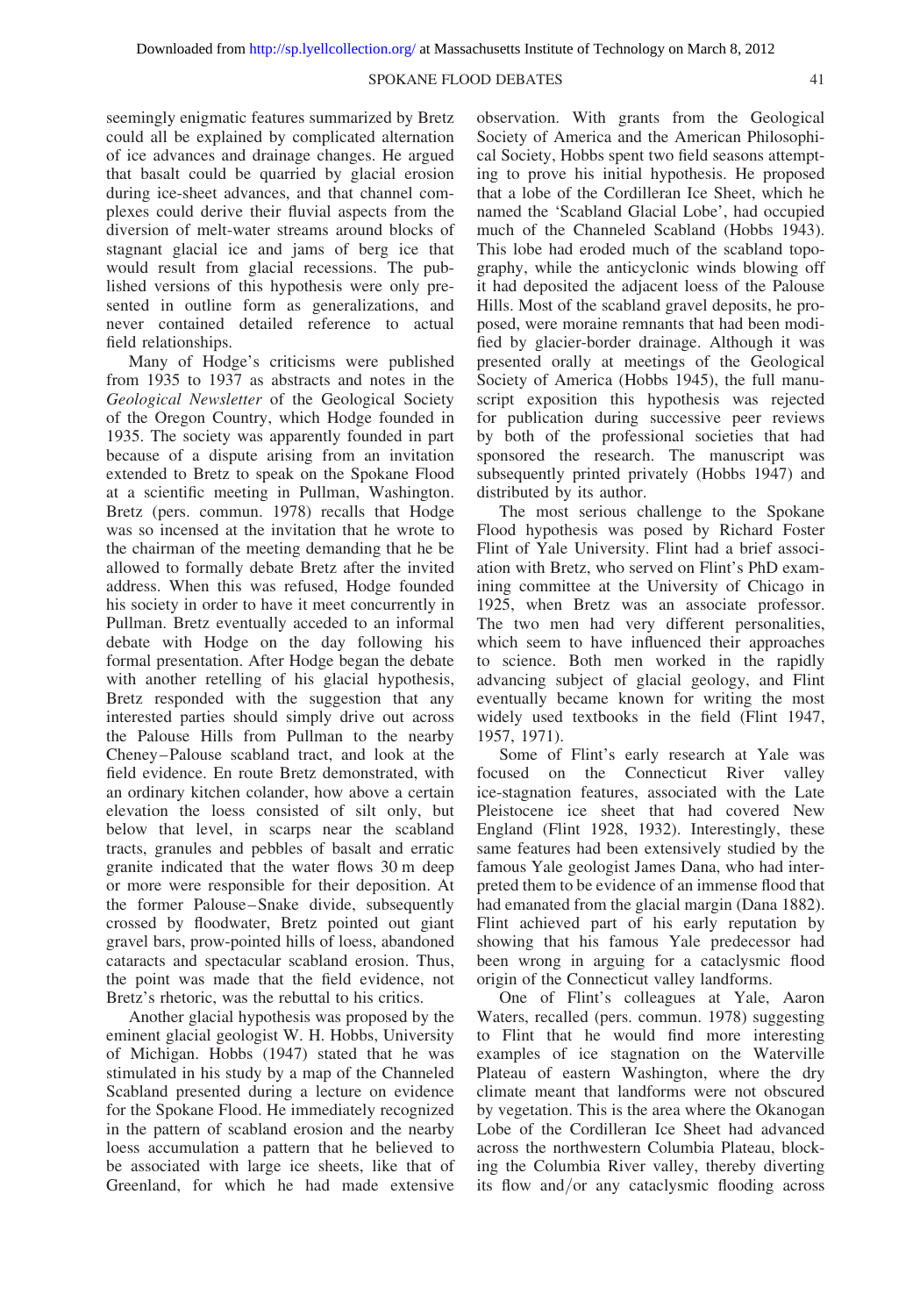seemingly enigmatic features summarized by Bretz could all be explained by complicated alternation of ice advances and drainage changes. He argued that basalt could be quarried by glacial erosion during ice-sheet advances, and that channel complexes could derive their fluvial aspects from the diversion of melt-water streams around blocks of stagnant glacial ice and jams of berg ice that would result from glacial recessions. The published versions of this hypothesis were only presented in outline form as generalizations, and never contained detailed reference to actual field relationships.

Many of Hodge's criticisms were published from 1935 to 1937 as abstracts and notes in the Geological Newsletter of the Geological Society of the Oregon Country, which Hodge founded in 1935. The society was apparently founded in part because of a dispute arising from an invitation extended to Bretz to speak on the Spokane Flood at a scientific meeting in Pullman, Washington. Bretz (pers. commun. 1978) recalls that Hodge was so incensed at the invitation that he wrote to the chairman of the meeting demanding that he be allowed to formally debate Bretz after the invited address. When this was refused, Hodge founded his society in order to have it meet concurrently in Pullman. Bretz eventually acceded to an informal debate with Hodge on the day following his formal presentation. After Hodge began the debate with another retelling of his glacial hypothesis, Bretz responded with the suggestion that any interested parties should simply drive out across the Palouse Hills from Pullman to the nearby Cheney–Palouse scabland tract, and look at the field evidence. En route Bretz demonstrated, with an ordinary kitchen colander, how above a certain elevation the loess consisted of silt only, but below that level, in scarps near the scabland tracts, granules and pebbles of basalt and erratic granite indicated that the water flows 30 m deep or more were responsible for their deposition. At the former Palouse–Snake divide, subsequently crossed by floodwater, Bretz pointed out giant gravel bars, prow-pointed hills of loess, abandoned cataracts and spectacular scabland erosion. Thus, the point was made that the field evidence, not Bretz's rhetoric, was the rebuttal to his critics.

Another glacial hypothesis was proposed by the eminent glacial geologist W. H. Hobbs, University of Michigan. Hobbs (1947) stated that he was stimulated in his study by a map of the Channeled Scabland presented during a lecture on evidence for the Spokane Flood. He immediately recognized in the pattern of scabland erosion and the nearby loess accumulation a pattern that he believed to be associated with large ice sheets, like that of Greenland, for which he had made extensive

observation. With grants from the Geological Society of America and the American Philosophical Society, Hobbs spent two field seasons attempting to prove his initial hypothesis. He proposed that a lobe of the Cordilleran Ice Sheet, which he named the 'Scabland Glacial Lobe', had occupied much of the Channeled Scabland (Hobbs 1943). This lobe had eroded much of the scabland topography, while the anticyclonic winds blowing off it had deposited the adjacent loess of the Palouse Hills. Most of the scabland gravel deposits, he proposed, were moraine remnants that had been modified by glacier-border drainage. Although it was presented orally at meetings of the Geological Society of America (Hobbs 1945), the full manuscript exposition this hypothesis was rejected for publication during successive peer reviews by both of the professional societies that had sponsored the research. The manuscript was subsequently printed privately (Hobbs 1947) and distributed by its author.

The most serious challenge to the Spokane Flood hypothesis was posed by Richard Foster Flint of Yale University. Flint had a brief association with Bretz, who served on Flint's PhD examining committee at the University of Chicago in 1925, when Bretz was an associate professor. The two men had very different personalities, which seem to have influenced their approaches to science. Both men worked in the rapidly advancing subject of glacial geology, and Flint eventually became known for writing the most widely used textbooks in the field (Flint 1947, 1957, 1971).

Some of Flint's early research at Yale was focused on the Connecticut River valley ice-stagnation features, associated with the Late Pleistocene ice sheet that had covered New England (Flint 1928, 1932). Interestingly, these same features had been extensively studied by the famous Yale geologist James Dana, who had interpreted them to be evidence of an immense flood that had emanated from the glacial margin (Dana 1882). Flint achieved part of his early reputation by showing that his famous Yale predecessor had been wrong in arguing for a cataclysmic flood origin of the Connecticut valley landforms.

One of Flint's colleagues at Yale, Aaron Waters, recalled (pers. commun. 1978) suggesting to Flint that he would find more interesting examples of ice stagnation on the Waterville Plateau of eastern Washington, where the dry climate meant that landforms were not obscured by vegetation. This is the area where the Okanogan Lobe of the Cordilleran Ice Sheet had advanced across the northwestern Columbia Plateau, blocking the Columbia River valley, thereby diverting its flow and/or any cataclysmic flooding across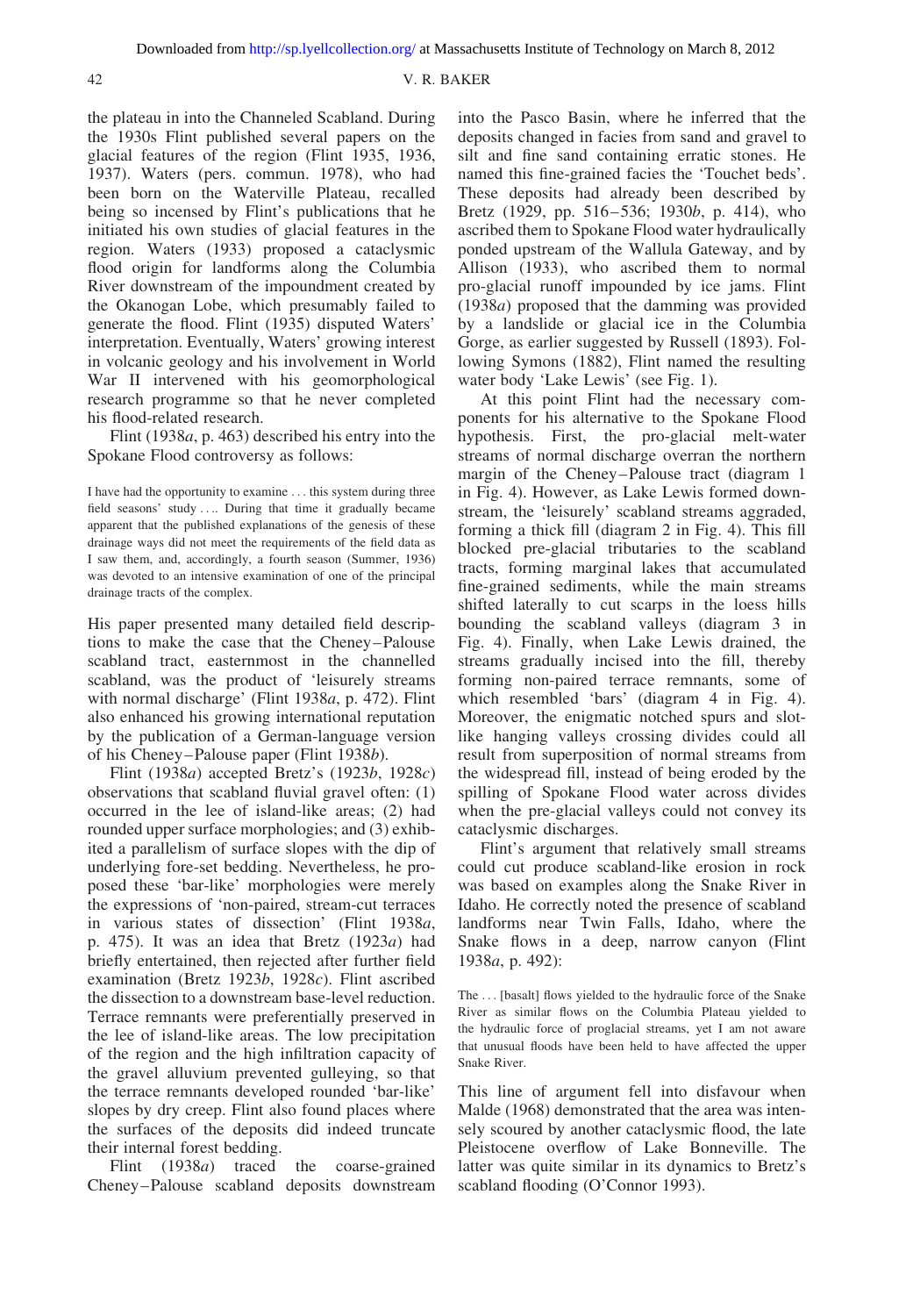the plateau in into the Channeled Scabland. During the 1930s Flint published several papers on the glacial features of the region (Flint 1935, 1936, 1937). Waters (pers. commun. 1978), who had been born on the Waterville Plateau, recalled being so incensed by Flint's publications that he initiated his own studies of glacial features in the region. Waters (1933) proposed a cataclysmic flood origin for landforms along the Columbia River downstream of the impoundment created by the Okanogan Lobe, which presumably failed to generate the flood. Flint (1935) disputed Waters' interpretation. Eventually, Waters' growing interest in volcanic geology and his involvement in World War II intervened with his geomorphological research programme so that he never completed his flood-related research.

Flint (1938a, p. 463) described his entry into the Spokane Flood controversy as follows:

I have had the opportunity to examine ... this system during three field seasons' study .... During that time it gradually became apparent that the published explanations of the genesis of these drainage ways did not meet the requirements of the field data as I saw them, and, accordingly, a fourth season (Summer, 1936) was devoted to an intensive examination of one of the principal drainage tracts of the complex.

His paper presented many detailed field descriptions to make the case that the Cheney–Palouse scabland tract, easternmost in the channelled scabland, was the product of 'leisurely streams with normal discharge' (Flint 1938a, p. 472). Flint also enhanced his growing international reputation by the publication of a German-language version of his Cheney–Palouse paper (Flint 1938b).

Flint (1938a) accepted Bretz's (1923b, 1928c) observations that scabland fluvial gravel often: (1) occurred in the lee of island-like areas; (2) had rounded upper surface morphologies; and (3) exhibited a parallelism of surface slopes with the dip of underlying fore-set bedding. Nevertheless, he proposed these 'bar-like' morphologies were merely the expressions of 'non-paired, stream-cut terraces in various states of dissection' (Flint 1938a, p. 475). It was an idea that Bretz (1923a) had briefly entertained, then rejected after further field examination (Bretz 1923b, 1928c). Flint ascribed the dissection to a downstream base-level reduction. Terrace remnants were preferentially preserved in the lee of island-like areas. The low precipitation of the region and the high infiltration capacity of the gravel alluvium prevented gulleying, so that the terrace remnants developed rounded 'bar-like' slopes by dry creep. Flint also found places where the surfaces of the deposits did indeed truncate their internal forest bedding.

Flint (1938a) traced the coarse-grained Cheney–Palouse scabland deposits downstream into the Pasco Basin, where he inferred that the deposits changed in facies from sand and gravel to silt and fine sand containing erratic stones. He named this fine-grained facies the 'Touchet beds'. These deposits had already been described by Bretz (1929, pp. 516–536; 1930b, p. 414), who ascribed them to Spokane Flood water hydraulically ponded upstream of the Wallula Gateway, and by Allison (1933), who ascribed them to normal pro-glacial runoff impounded by ice jams. Flint (1938a) proposed that the damming was provided by a landslide or glacial ice in the Columbia Gorge, as earlier suggested by Russell (1893). Following Symons (1882), Flint named the resulting water body 'Lake Lewis' (see Fig. 1).

At this point Flint had the necessary components for his alternative to the Spokane Flood hypothesis. First, the pro-glacial melt-water streams of normal discharge overran the northern margin of the Cheney–Palouse tract (diagram 1 in Fig. 4). However, as Lake Lewis formed downstream, the 'leisurely' scabland streams aggraded, forming a thick fill (diagram 2 in Fig. 4). This fill blocked pre-glacial tributaries to the scabland tracts, forming marginal lakes that accumulated fine-grained sediments, while the main streams shifted laterally to cut scarps in the loess hills bounding the scabland valleys (diagram 3 in Fig. 4). Finally, when Lake Lewis drained, the streams gradually incised into the fill, thereby forming non-paired terrace remnants, some of which resembled 'bars' (diagram 4 in Fig. 4). Moreover, the enigmatic notched spurs and slotlike hanging valleys crossing divides could all result from superposition of normal streams from the widespread fill, instead of being eroded by the spilling of Spokane Flood water across divides when the pre-glacial valleys could not convey its cataclysmic discharges.

Flint's argument that relatively small streams could cut produce scabland-like erosion in rock was based on examples along the Snake River in Idaho. He correctly noted the presence of scabland landforms near Twin Falls, Idaho, where the Snake flows in a deep, narrow canyon (Flint 1938a, p. 492):

The ... [basalt] flows yielded to the hydraulic force of the Snake River as similar flows on the Columbia Plateau yielded to the hydraulic force of proglacial streams, yet I am not aware that unusual floods have been held to have affected the upper Snake River.

This line of argument fell into disfavour when Malde (1968) demonstrated that the area was intensely scoured by another cataclysmic flood, the late Pleistocene overflow of Lake Bonneville. The latter was quite similar in its dynamics to Bretz's scabland flooding (O'Connor 1993).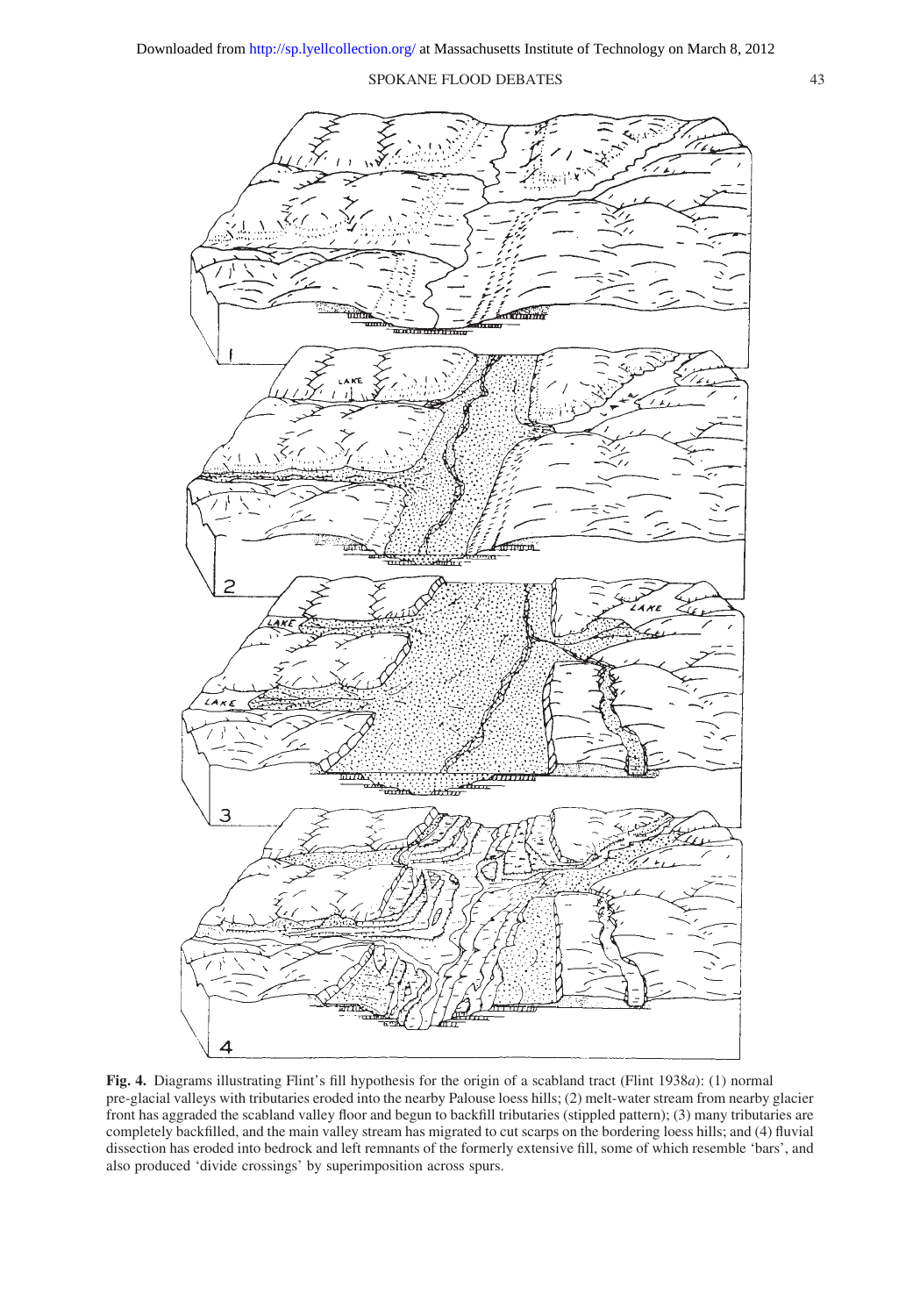

Fig. 4. Diagrams illustrating Flint's fill hypothesis for the origin of a scabland tract (Flint 1938a): (1) normal pre-glacial valleys with tributaries eroded into the nearby Palouse loess hills; (2) melt-water stream from nearby glacier front has aggraded the scabland valley floor and begun to backfill tributaries (stippled pattern); (3) many tributaries are completely backfilled, and the main valley stream has migrated to cut scarps on the bordering loess hills; and (4) fluvial dissection has eroded into bedrock and left remnants of the formerly extensive fill, some of which resemble 'bars', and also produced 'divide crossings' by superimposition across spurs.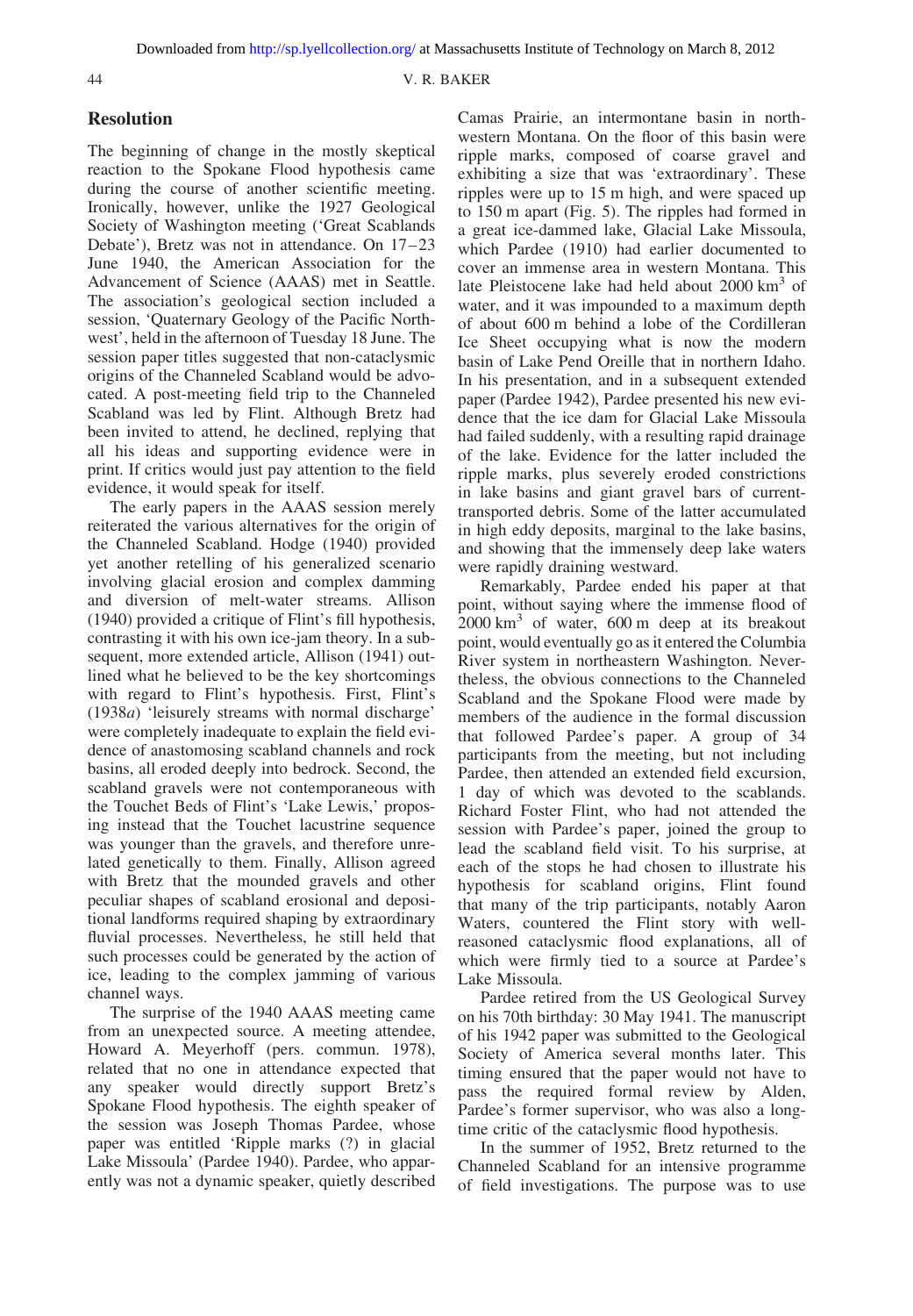# Resolution

The beginning of change in the mostly skeptical reaction to the Spokane Flood hypothesis came during the course of another scientific meeting. Ironically, however, unlike the 1927 Geological Society of Washington meeting ('Great Scablands Debate'), Bretz was not in attendance. On 17–23 June 1940, the American Association for the Advancement of Science (AAAS) met in Seattle. The association's geological section included a session, 'Quaternary Geology of the Pacific Northwest', held in the afternoon of Tuesday 18 June. The session paper titles suggested that non-cataclysmic origins of the Channeled Scabland would be advocated. A post-meeting field trip to the Channeled Scabland was led by Flint. Although Bretz had been invited to attend, he declined, replying that all his ideas and supporting evidence were in print. If critics would just pay attention to the field evidence, it would speak for itself.

The early papers in the AAAS session merely reiterated the various alternatives for the origin of the Channeled Scabland. Hodge (1940) provided yet another retelling of his generalized scenario involving glacial erosion and complex damming and diversion of melt-water streams. Allison (1940) provided a critique of Flint's fill hypothesis, contrasting it with his own ice-jam theory. In a subsequent, more extended article, Allison (1941) outlined what he believed to be the key shortcomings with regard to Flint's hypothesis. First, Flint's (1938a) 'leisurely streams with normal discharge' were completely inadequate to explain the field evidence of anastomosing scabland channels and rock basins, all eroded deeply into bedrock. Second, the scabland gravels were not contemporaneous with the Touchet Beds of Flint's 'Lake Lewis,' proposing instead that the Touchet lacustrine sequence was younger than the gravels, and therefore unrelated genetically to them. Finally, Allison agreed with Bretz that the mounded gravels and other peculiar shapes of scabland erosional and depositional landforms required shaping by extraordinary fluvial processes. Nevertheless, he still held that such processes could be generated by the action of ice, leading to the complex jamming of various channel ways.

The surprise of the 1940 AAAS meeting came from an unexpected source. A meeting attendee, Howard A. Meyerhoff (pers. commun. 1978), related that no one in attendance expected that any speaker would directly support Bretz's Spokane Flood hypothesis. The eighth speaker of the session was Joseph Thomas Pardee, whose paper was entitled 'Ripple marks (?) in glacial Lake Missoula' (Pardee 1940). Pardee, who apparently was not a dynamic speaker, quietly described Camas Prairie, an intermontane basin in northwestern Montana. On the floor of this basin were ripple marks, composed of coarse gravel and exhibiting a size that was 'extraordinary'. These ripples were up to 15 m high, and were spaced up to 150 m apart (Fig. 5). The ripples had formed in a great ice-dammed lake, Glacial Lake Missoula, which Pardee (1910) had earlier documented to cover an immense area in western Montana. This late Pleistocene lake had held about 2000 km<sup>3</sup> of water, and it was impounded to a maximum depth of about 600 m behind a lobe of the Cordilleran Ice Sheet occupying what is now the modern basin of Lake Pend Oreille that in northern Idaho. In his presentation, and in a subsequent extended paper (Pardee 1942), Pardee presented his new evidence that the ice dam for Glacial Lake Missoula had failed suddenly, with a resulting rapid drainage of the lake. Evidence for the latter included the ripple marks, plus severely eroded constrictions in lake basins and giant gravel bars of currenttransported debris. Some of the latter accumulated in high eddy deposits, marginal to the lake basins, and showing that the immensely deep lake waters were rapidly draining westward.

Remarkably, Pardee ended his paper at that point, without saying where the immense flood of  $2000 \text{ km}^3$  of water, 600 m deep at its breakout point, would eventually go as it entered the Columbia River system in northeastern Washington. Nevertheless, the obvious connections to the Channeled Scabland and the Spokane Flood were made by members of the audience in the formal discussion that followed Pardee's paper. A group of 34 participants from the meeting, but not including Pardee, then attended an extended field excursion, 1 day of which was devoted to the scablands. Richard Foster Flint, who had not attended the session with Pardee's paper, joined the group to lead the scabland field visit. To his surprise, at each of the stops he had chosen to illustrate his hypothesis for scabland origins, Flint found that many of the trip participants, notably Aaron Waters, countered the Flint story with wellreasoned cataclysmic flood explanations, all of which were firmly tied to a source at Pardee's Lake Missoula.

Pardee retired from the US Geological Survey on his 70th birthday: 30 May 1941. The manuscript of his 1942 paper was submitted to the Geological Society of America several months later. This timing ensured that the paper would not have to pass the required formal review by Alden, Pardee's former supervisor, who was also a longtime critic of the cataclysmic flood hypothesis.

In the summer of 1952, Bretz returned to the Channeled Scabland for an intensive programme of field investigations. The purpose was to use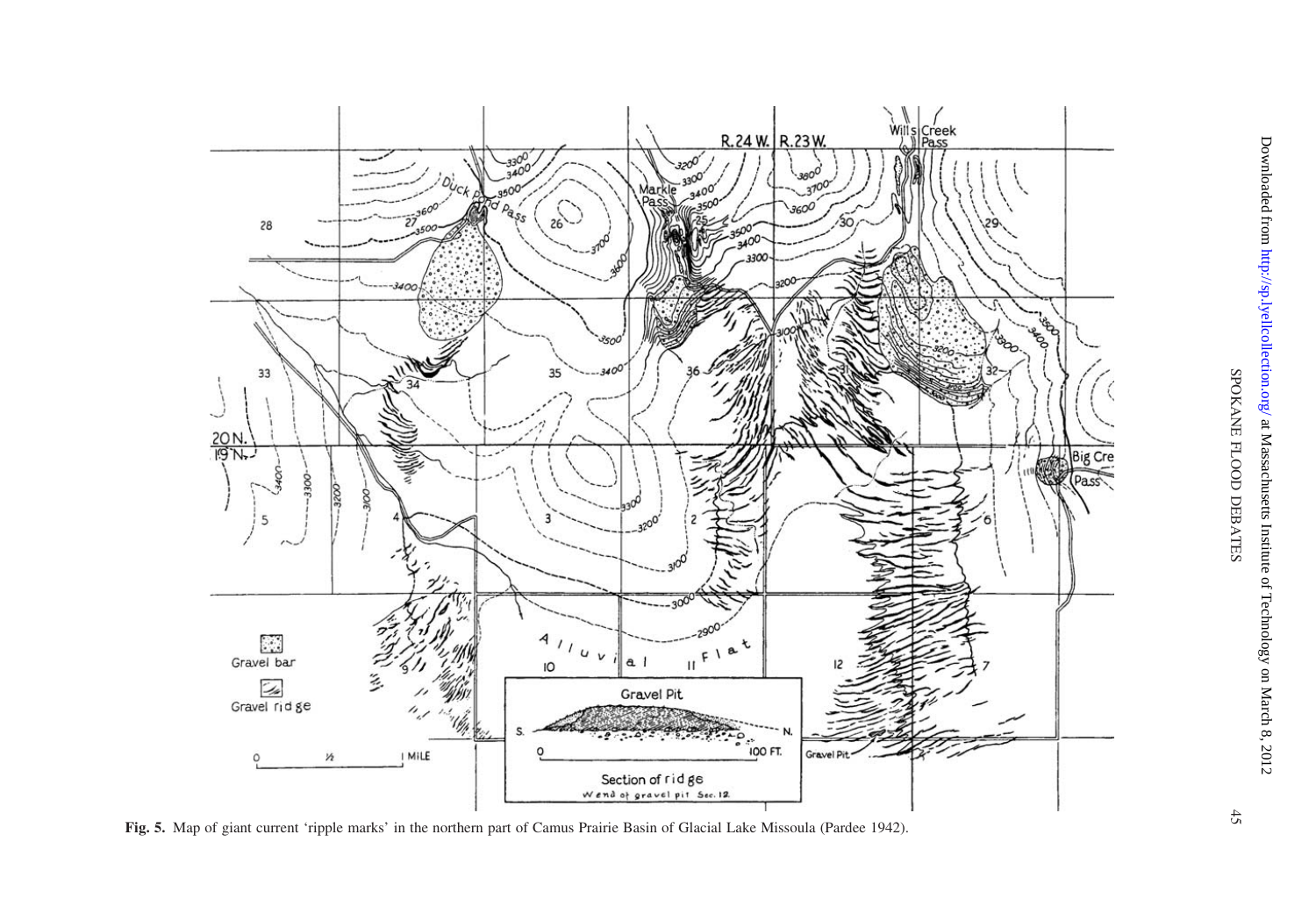

Fig. 5. Map of giant current 'ripple marks' in the northern par<sup>t</sup> of Camus Prairie Basin of Glacial Lake Missoula (Pardee 1942).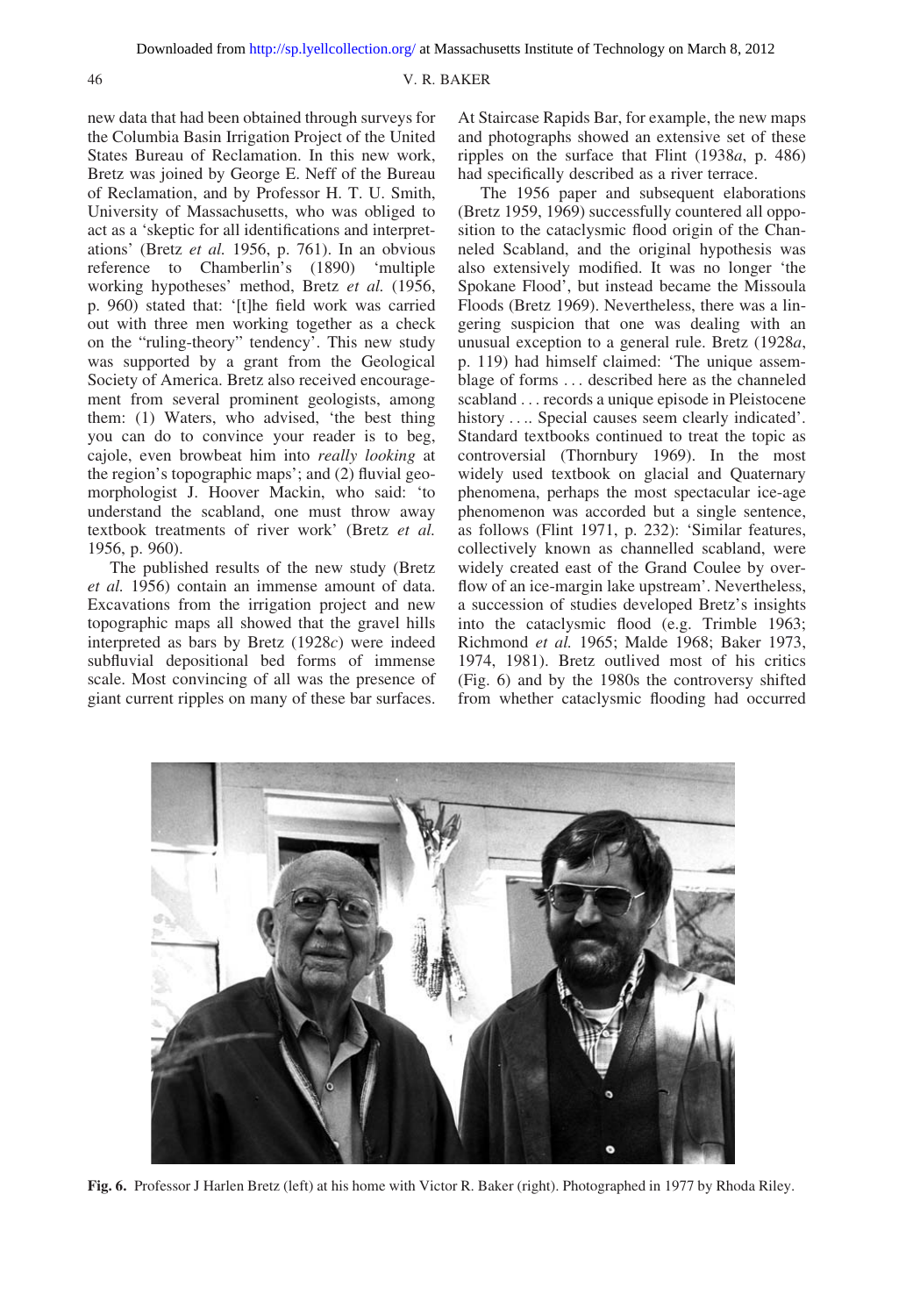new data that had been obtained through surveys for the Columbia Basin Irrigation Project of the United States Bureau of Reclamation. In this new work, Bretz was joined by George E. Neff of the Bureau of Reclamation, and by Professor H. T. U. Smith, University of Massachusetts, who was obliged to act as a 'skeptic for all identifications and interpretations' (Bretz et al. 1956, p. 761). In an obvious reference to Chamberlin's (1890) 'multiple working hypotheses' method, Bretz et al. (1956, p. 960) stated that: '[t]he field work was carried out with three men working together as a check on the "ruling-theory" tendency'. This new study was supported by a grant from the Geological Society of America. Bretz also received encouragement from several prominent geologists, among them: (1) Waters, who advised, 'the best thing you can do to convince your reader is to beg, cajole, even browbeat him into really looking at the region's topographic maps'; and (2) fluvial geomorphologist J. Hoover Mackin, who said: 'to understand the scabland, one must throw away textbook treatments of river work' (Bretz et al. 1956, p. 960).

The published results of the new study (Bretz et al. 1956) contain an immense amount of data. Excavations from the irrigation project and new topographic maps all showed that the gravel hills interpreted as bars by Bretz (1928c) were indeed subfluvial depositional bed forms of immense scale. Most convincing of all was the presence of giant current ripples on many of these bar surfaces.

At Staircase Rapids Bar, for example, the new maps and photographs showed an extensive set of these ripples on the surface that Flint (1938a, p. 486) had specifically described as a river terrace.

The 1956 paper and subsequent elaborations (Bretz 1959, 1969) successfully countered all opposition to the cataclysmic flood origin of the Channeled Scabland, and the original hypothesis was also extensively modified. It was no longer 'the Spokane Flood', but instead became the Missoula Floods (Bretz 1969). Nevertheless, there was a lingering suspicion that one was dealing with an unusual exception to a general rule. Bretz (1928a, p. 119) had himself claimed: 'The unique assemblage of forms ... described here as the channeled scabland ... records a unique episode in Pleistocene history .... Special causes seem clearly indicated'. Standard textbooks continued to treat the topic as controversial (Thornbury 1969). In the most widely used textbook on glacial and Quaternary phenomena, perhaps the most spectacular ice-age phenomenon was accorded but a single sentence, as follows (Flint 1971, p. 232): 'Similar features, collectively known as channelled scabland, were widely created east of the Grand Coulee by overflow of an ice-margin lake upstream'. Nevertheless, a succession of studies developed Bretz's insights into the cataclysmic flood (e.g. Trimble 1963; Richmond et al. 1965; Malde 1968; Baker 1973, 1974, 1981). Bretz outlived most of his critics (Fig. 6) and by the 1980s the controversy shifted from whether cataclysmic flooding had occurred



Fig. 6. Professor J Harlen Bretz (left) at his home with Victor R. Baker (right). Photographed in 1977 by Rhoda Riley.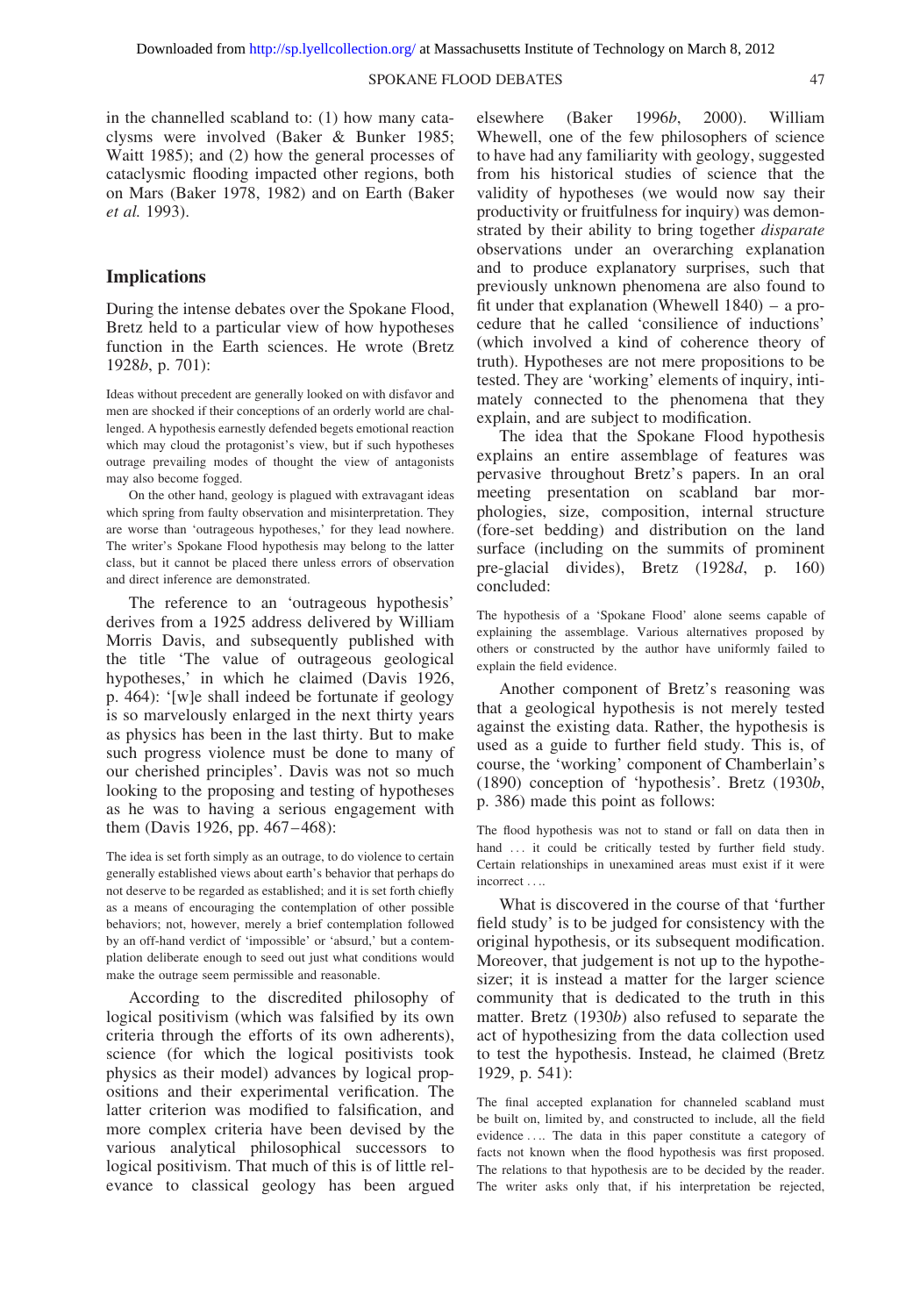in the channelled scabland to: (1) how many cataclysms were involved (Baker & Bunker 1985; Waitt 1985); and (2) how the general processes of cataclysmic flooding impacted other regions, both on Mars (Baker 1978, 1982) and on Earth (Baker et al. 1993).

## Implications

During the intense debates over the Spokane Flood, Bretz held to a particular view of how hypotheses function in the Earth sciences. He wrote (Bretz 1928b, p. 701):

Ideas without precedent are generally looked on with disfavor and men are shocked if their conceptions of an orderly world are challenged. A hypothesis earnestly defended begets emotional reaction which may cloud the protagonist's view, but if such hypotheses outrage prevailing modes of thought the view of antagonists may also become fogged.

On the other hand, geology is plagued with extravagant ideas which spring from faulty observation and misinterpretation. They are worse than 'outrageous hypotheses,' for they lead nowhere. The writer's Spokane Flood hypothesis may belong to the latter class, but it cannot be placed there unless errors of observation and direct inference are demonstrated.

The reference to an 'outrageous hypothesis' derives from a 1925 address delivered by William Morris Davis, and subsequently published with the title 'The value of outrageous geological hypotheses,' in which he claimed (Davis 1926, p. 464): '[w]e shall indeed be fortunate if geology is so marvelously enlarged in the next thirty years as physics has been in the last thirty. But to make such progress violence must be done to many of our cherished principles'. Davis was not so much looking to the proposing and testing of hypotheses as he was to having a serious engagement with them (Davis 1926, pp. 467–468):

The idea is set forth simply as an outrage, to do violence to certain generally established views about earth's behavior that perhaps do not deserve to be regarded as established; and it is set forth chiefly as a means of encouraging the contemplation of other possible behaviors; not, however, merely a brief contemplation followed by an off-hand verdict of 'impossible' or 'absurd,' but a contemplation deliberate enough to seed out just what conditions would make the outrage seem permissible and reasonable.

According to the discredited philosophy of logical positivism (which was falsified by its own criteria through the efforts of its own adherents), science (for which the logical positivists took physics as their model) advances by logical propositions and their experimental verification. The latter criterion was modified to falsification, and more complex criteria have been devised by the various analytical philosophical successors to logical positivism. That much of this is of little relevance to classical geology has been argued

elsewhere (Baker 1996b, 2000). William Whewell, one of the few philosophers of science to have had any familiarity with geology, suggested from his historical studies of science that the validity of hypotheses (we would now say their productivity or fruitfulness for inquiry) was demonstrated by their ability to bring together *disparate* observations under an overarching explanation and to produce explanatory surprises, such that previously unknown phenomena are also found to fit under that explanation (Whewell 1840) – a procedure that he called 'consilience of inductions' (which involved a kind of coherence theory of truth). Hypotheses are not mere propositions to be tested. They are 'working' elements of inquiry, intimately connected to the phenomena that they explain, and are subject to modification.

The idea that the Spokane Flood hypothesis explains an entire assemblage of features was pervasive throughout Bretz's papers. In an oral meeting presentation on scabland bar morphologies, size, composition, internal structure (fore-set bedding) and distribution on the land surface (including on the summits of prominent pre-glacial divides), Bretz (1928d, p. 160) concluded:

The hypothesis of a 'Spokane Flood' alone seems capable of explaining the assemblage. Various alternatives proposed by others or constructed by the author have uniformly failed to explain the field evidence.

Another component of Bretz's reasoning was that a geological hypothesis is not merely tested against the existing data. Rather, the hypothesis is used as a guide to further field study. This is, of course, the 'working' component of Chamberlain's (1890) conception of 'hypothesis'. Bretz (1930b, p. 386) made this point as follows:

The flood hypothesis was not to stand or fall on data then in hand ... it could be critically tested by further field study. Certain relationships in unexamined areas must exist if it were incorrect ....

What is discovered in the course of that 'further field study' is to be judged for consistency with the original hypothesis, or its subsequent modification. Moreover, that judgement is not up to the hypothesizer; it is instead a matter for the larger science community that is dedicated to the truth in this matter. Bretz (1930b) also refused to separate the act of hypothesizing from the data collection used to test the hypothesis. Instead, he claimed (Bretz 1929, p. 541):

The final accepted explanation for channeled scabland must be built on, limited by, and constructed to include, all the field evidence .... The data in this paper constitute a category of facts not known when the flood hypothesis was first proposed. The relations to that hypothesis are to be decided by the reader. The writer asks only that, if his interpretation be rejected,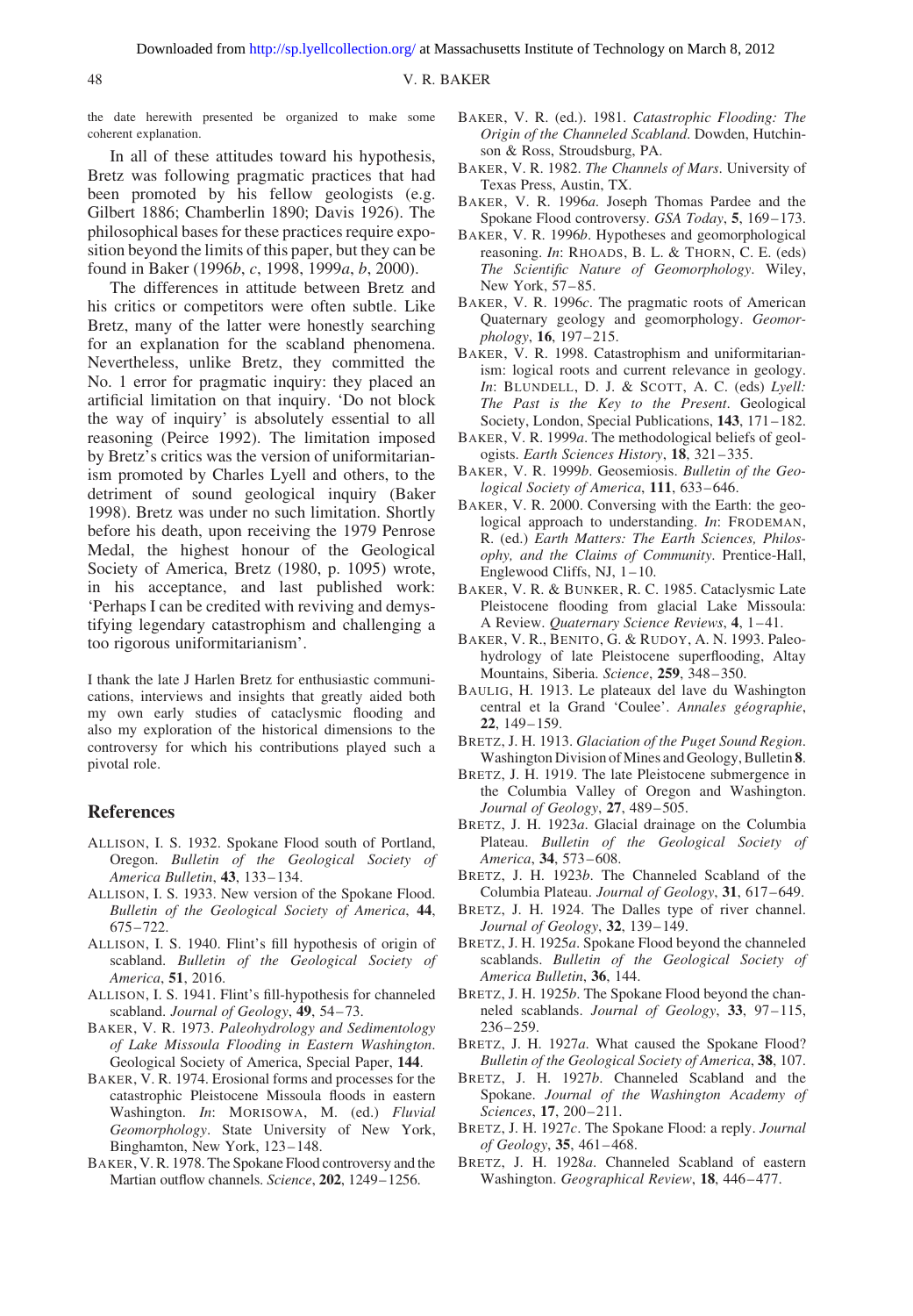the date herewith presented be organized to make some coherent explanation.

In all of these attitudes toward his hypothesis, Bretz was following pragmatic practices that had been promoted by his fellow geologists (e.g. Gilbert 1886; Chamberlin 1890; Davis 1926). The philosophical bases for these practices require exposition beyond the limits of this paper, but they can be found in Baker (1996b, c, 1998, 1999a, b, 2000).

The differences in attitude between Bretz and his critics or competitors were often subtle. Like Bretz, many of the latter were honestly searching for an explanation for the scabland phenomena. Nevertheless, unlike Bretz, they committed the No. 1 error for pragmatic inquiry: they placed an artificial limitation on that inquiry. 'Do not block the way of inquiry' is absolutely essential to all reasoning (Peirce 1992). The limitation imposed by Bretz's critics was the version of uniformitarianism promoted by Charles Lyell and others, to the detriment of sound geological inquiry (Baker 1998). Bretz was under no such limitation. Shortly before his death, upon receiving the 1979 Penrose Medal, the highest honour of the Geological Society of America, Bretz (1980, p. 1095) wrote, in his acceptance, and last published work: 'Perhaps I can be credited with reviving and demystifying legendary catastrophism and challenging a too rigorous uniformitarianism'.

I thank the late J Harlen Bretz for enthusiastic communications, interviews and insights that greatly aided both my own early studies of cataclysmic flooding and also my exploration of the historical dimensions to the controversy for which his contributions played such a pivotal role.

### References

- ALLISON, I. S. 1932. Spokane Flood south of Portland, Oregon. Bulletin of the Geological Society of America Bulletin, 43, 133–134.
- ALLISON, I. S. 1933. New version of the Spokane Flood. Bulletin of the Geological Society of America, 44, 675–722.
- ALLISON, I. S. 1940. Flint's fill hypothesis of origin of scabland. Bulletin of the Geological Society of America, 51, 2016.
- ALLISON, I. S. 1941. Flint's fill-hypothesis for channeled scabland. Journal of Geology, 49, 54-73.
- BAKER, V. R. 1973. Paleohydrology and Sedimentology of Lake Missoula Flooding in Eastern Washington. Geological Society of America, Special Paper, 144.
- BAKER, V. R. 1974. Erosional forms and processes for the catastrophic Pleistocene Missoula floods in eastern Washington. In: MORISOWA, M. (ed.) Fluvial Geomorphology. State University of New York, Binghamton, New York, 123–148.
- BAKER, V. R. 1978. The Spokane Flood controversy and the Martian outflow channels. Science, 202, 1249-1256.
- BAKER, V. R. (ed.). 1981. Catastrophic Flooding: The Origin of the Channeled Scabland. Dowden, Hutchinson & Ross, Stroudsburg, PA.
- BAKER, V. R. 1982. The Channels of Mars. University of Texas Press, Austin, TX.
- BAKER, V. R. 1996a. Joseph Thomas Pardee and the Spokane Flood controversy. GSA Today, 5, 169-173.
- BAKER, V. R. 1996b. Hypotheses and geomorphological reasoning. In: RHOADS, B. L. & THORN, C. E. (eds) The Scientific Nature of Geomorphology. Wiley, New York, 57–85.
- BAKER, V. R. 1996c. The pragmatic roots of American Quaternary geology and geomorphology. Geomorphology, 16, 197–215.
- BAKER, V. R. 1998. Catastrophism and uniformitarianism: logical roots and current relevance in geology. In: BLUNDELL, D. J. & SCOTT, A. C. (eds) Lyell: The Past is the Key to the Present. Geological Society, London, Special Publications, 143, 171–182.
- BAKER, V. R. 1999a. The methodological beliefs of geologists. Earth Sciences History, 18, 321–335.
- BAKER, V. R. 1999b. Geosemiosis. Bulletin of the Geological Society of America, 111, 633–646.
- BAKER, V. R. 2000. Conversing with the Earth: the geological approach to understanding. In: FRODEMAN, R. (ed.) Earth Matters: The Earth Sciences, Philosophy, and the Claims of Community. Prentice-Hall, Englewood Cliffs, NJ, 1–10.
- BAKER, V. R. & BUNKER, R. C. 1985. Cataclysmic Late Pleistocene flooding from glacial Lake Missoula: A Review. Quaternary Science Reviews, 4, 1–41.
- BAKER, V. R., BENITO, G. & RUDOY, A. N. 1993. Paleohydrology of late Pleistocene superflooding, Altay Mountains, Siberia. Science, 259, 348–350.
- BAULIG, H. 1913. Le plateaux del lave du Washington central et la Grand 'Coulee'. Annales géographie, 22, 149–159.
- BRETZ, J. H. 1913. Glaciation of the Puget Sound Region. Washington Division of Mines and Geology, Bulletin 8.
- BRETZ, J. H. 1919. The late Pleistocene submergence in the Columbia Valley of Oregon and Washington. Journal of Geology, 27, 489-505.
- BRETZ, J. H. 1923a. Glacial drainage on the Columbia Plateau. Bulletin of the Geological Society of America, 34, 573–608.
- BRETZ, J. H. 1923b. The Channeled Scabland of the Columbia Plateau. Journal of Geology, 31, 617–649.
- BRETZ, J. H. 1924. The Dalles type of river channel. Journal of Geology, 32, 139–149.
- BRETZ, J. H. 1925a. Spokane Flood beyond the channeled scablands. Bulletin of the Geological Society of America Bulletin, 36, 144.
- BRETZ, J. H. 1925b. The Spokane Flood beyond the channeled scablands. Journal of Geology, 33, 97-115, 236–259.
- BRETZ, J. H. 1927a. What caused the Spokane Flood? Bulletin of the Geological Society of America, 38, 107.
- BRETZ, J. H. 1927b. Channeled Scabland and the Spokane. Journal of the Washington Academy of Sciences, 17, 200–211.
- BRETZ, J. H. 1927c. The Spokane Flood: a reply. Journal of Geology, 35, 461–468.
- BRETZ, J. H. 1928a. Channeled Scabland of eastern Washington. Geographical Review, 18, 446–477.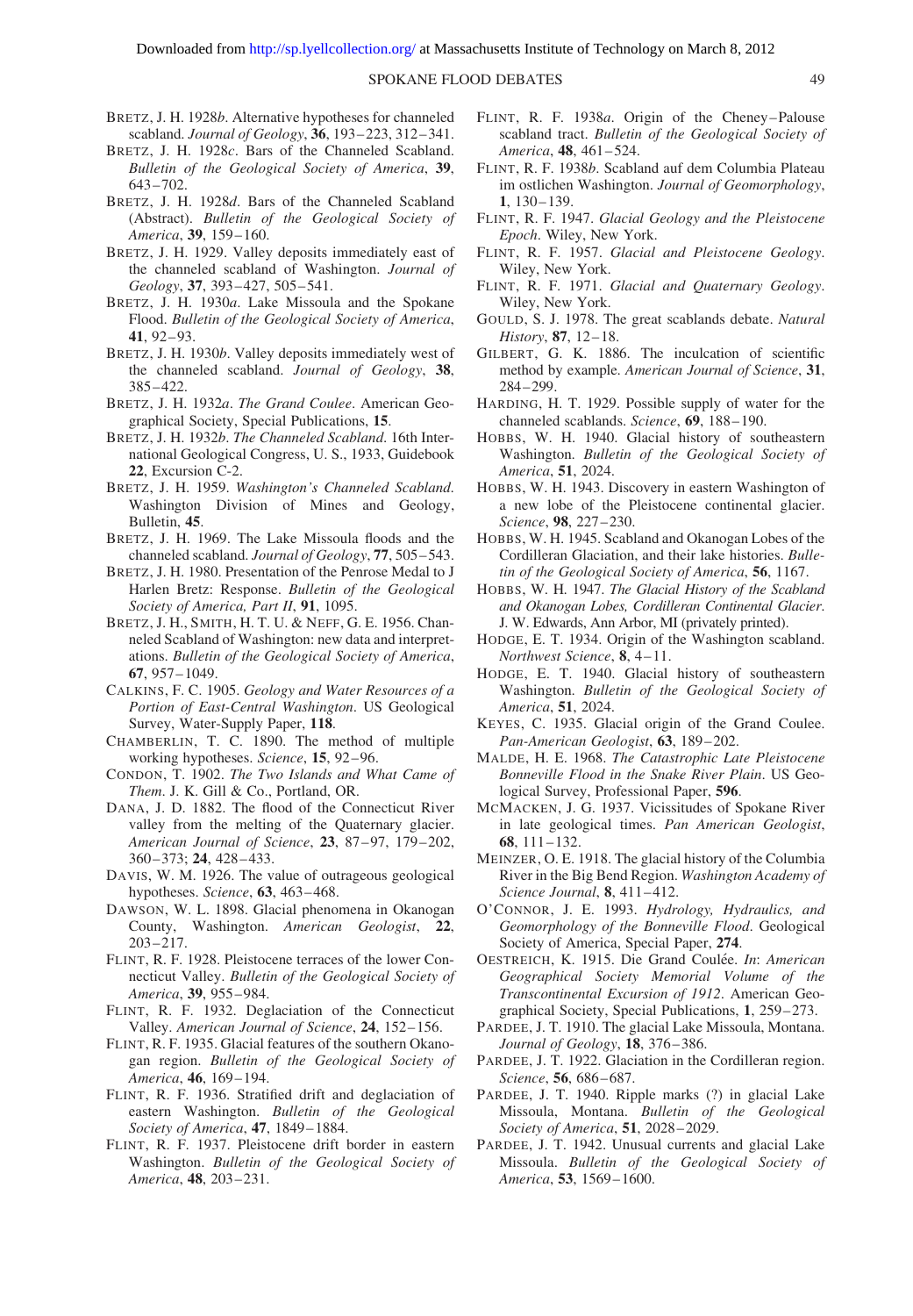- BRETZ, J. H. 1928b. Alternative hypotheses for channeled scabland. Journal of Geology, 36, 193–223, 312–341.
- BRETZ, J. H. 1928c. Bars of the Channeled Scabland. Bulletin of the Geological Society of America, 39, 643–702.
- BRETZ, J. H. 1928d. Bars of the Channeled Scabland (Abstract). Bulletin of the Geological Society of America, 39, 159–160.
- BRETZ, J. H. 1929. Valley deposits immediately east of the channeled scabland of Washington. Journal of Geology, 37, 393–427, 505–541.
- BRETZ, J. H. 1930a. Lake Missoula and the Spokane Flood. Bulletin of the Geological Society of America, 41, 92–93.
- BRETZ, J. H. 1930b. Valley deposits immediately west of the channeled scabland. Journal of Geology, 38, 385–422.
- BRETZ, J. H. 1932a. The Grand Coulee. American Geographical Society, Special Publications, 15.
- BRETZ, J. H. 1932b. The Channeled Scabland. 16th International Geological Congress, U. S., 1933, Guidebook 22, Excursion C-2.
- BRETZ, J. H. 1959. Washington's Channeled Scabland. Washington Division of Mines and Geology, Bulletin, 45.
- BRETZ, J. H. 1969. The Lake Missoula floods and the channeled scabland. Journal of Geology, 77, 505–543.
- BRETZ, J. H. 1980. Presentation of the Penrose Medal to J Harlen Bretz: Response. Bulletin of the Geological Society of America, Part II, 91, 1095.
- BRETZ, J. H., SMITH, H. T. U. & NEFF, G. E. 1956. Channeled Scabland of Washington: new data and interpretations. Bulletin of the Geological Society of America, 67, 957–1049.
- CALKINS, F. C. 1905. Geology and Water Resources of a Portion of East-Central Washington. US Geological Survey, Water-Supply Paper, 118.
- CHAMBERLIN, T. C. 1890. The method of multiple working hypotheses. Science, 15, 92–96.
- CONDON, T. 1902. The Two Islands and What Came of Them. J. K. Gill & Co., Portland, OR.
- DANA, J. D. 1882. The flood of the Connecticut River valley from the melting of the Quaternary glacier. American Journal of Science, 23, 87–97, 179–202, 360–373; 24, 428–433.
- DAVIS, W. M. 1926. The value of outrageous geological hypotheses. Science, **63**, 463–468.
- DAWSON, W. L. 1898. Glacial phenomena in Okanogan County, Washington. American Geologist, 22, 203–217.
- FLINT, R. F. 1928. Pleistocene terraces of the lower Connecticut Valley. Bulletin of the Geological Society of America, 39, 955–984.
- FLINT, R. F. 1932. Deglaciation of the Connecticut Valley. American Journal of Science, 24, 152-156.
- FLINT, R. F. 1935. Glacial features of the southern Okanogan region. Bulletin of the Geological Society of America, 46, 169–194.
- FLINT, R. F. 1936. Stratified drift and deglaciation of eastern Washington. Bulletin of the Geological Society of America, 47, 1849–1884.
- FLINT, R. F. 1937. Pleistocene drift border in eastern Washington. Bulletin of the Geological Society of America, 48, 203–231.
- FLINT, R. F. 1938a. Origin of the Cheney–Palouse scabland tract. Bulletin of the Geological Society of America, 48, 461–524.
- FLINT, R. F. 1938b. Scabland auf dem Columbia Plateau im ostlichen Washington. Journal of Geomorphology, 1, 130–139.
- FLINT, R. F. 1947. Glacial Geology and the Pleistocene Epoch. Wiley, New York.
- FLINT, R. F. 1957. Glacial and Pleistocene Geology. Wiley, New York.
- FLINT, R. F. 1971. Glacial and Quaternary Geology. Wiley, New York.
- GOULD, S. J. 1978. The great scablands debate. Natural History, 87, 12–18.
- GILBERT, G. K. 1886. The inculcation of scientific method by example. American Journal of Science, 31, 284–299.
- HARDING, H. T. 1929. Possible supply of water for the channeled scablands. Science, 69, 188–190.
- HOBBS, W. H. 1940. Glacial history of southeastern Washington. Bulletin of the Geological Society of America, 51, 2024.
- HOBBS, W. H. 1943. Discovery in eastern Washington of a new lobe of the Pleistocene continental glacier. Science, 98, 227–230.
- HOBBS, W. H. 1945. Scabland and Okanogan Lobes of the Cordilleran Glaciation, and their lake histories. Bulletin of the Geological Society of America, 56, 1167.
- HOBBS, W. H. 1947. The Glacial History of the Scabland and Okanogan Lobes, Cordilleran Continental Glacier. J. W. Edwards, Ann Arbor, MI (privately printed).
- HODGE, E. T. 1934. Origin of the Washington scabland. Northwest Science, 8, 4–11.
- HODGE, E. T. 1940. Glacial history of southeastern Washington. Bulletin of the Geological Society of America, 51, 2024.
- KEYES, C. 1935. Glacial origin of the Grand Coulee. Pan-American Geologist, 63, 189–202.
- MALDE, H. E. 1968. The Catastrophic Late Pleistocene Bonneville Flood in the Snake River Plain. US Geological Survey, Professional Paper, 596.
- MCMACKEN, J. G. 1937. Vicissitudes of Spokane River in late geological times. Pan American Geologist, 68, 111–132.
- MEINZER, O. E. 1918. The glacial history of the Columbia River in the Big Bend Region. Washington Academy of Science Journal, 8, 411–412.
- O'CONNOR, J. E. 1993. Hydrology, Hydraulics, and Geomorphology of the Bonneville Flood. Geological Society of America, Special Paper, 274.
- OESTREICH, K. 1915. Die Grand Coulée. In: American Geographical Society Memorial Volume of the Transcontinental Excursion of 1912. American Geographical Society, Special Publications, 1, 259–273.
- PARDEE, J. T. 1910. The glacial Lake Missoula, Montana. Journal of Geology, 18, 376–386.
- PARDEE, J. T. 1922. Glaciation in the Cordilleran region. Science, 56, 686–687.
- PARDEE, J. T. 1940. Ripple marks (?) in glacial Lake Missoula, Montana. Bulletin of the Geological Society of America, 51, 2028–2029.
- PARDEE, J. T. 1942. Unusual currents and glacial Lake Missoula. Bulletin of the Geological Society of America, 53, 1569–1600.